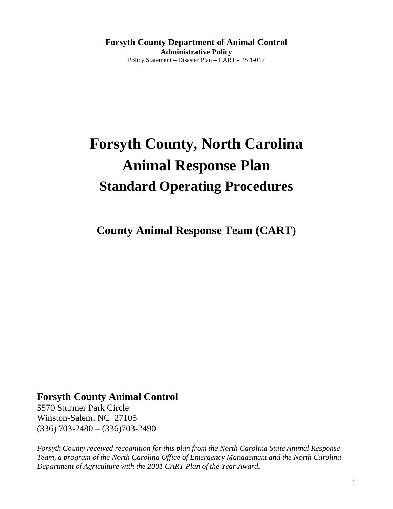**Forsyth County Department of Animal Control Administrative Policy**  Policy Statement – Disaster Plan – CART - PS 1-017

# **Forsyth County, North Carolina Animal Response Plan Standard Operating Procedures**

**County Animal Response Team (CART)** 

# **Forsyth County Animal Control**

5570 Sturmer Park Circle Winston-Salem, NC 27105 (336) 703-2480 – (336)703-2490

*Forsyth County received recognition for this plan from the North Carolina State Animal Response Team, a program of the North Carolina Office of Emergency Management and the North Carolina Department of Agriculture with the 2001 CART Plan of the Year Award.*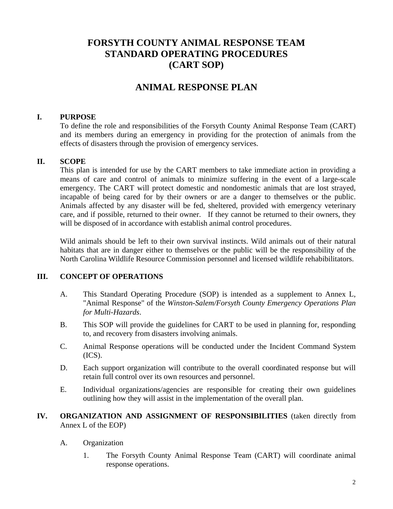# **FORSYTH COUNTY ANIMAL RESPONSE TEAM STANDARD OPERATING PROCEDURES (CART SOP)**

# **ANIMAL RESPONSE PLAN**

#### **I. PURPOSE**

To define the role and responsibilities of the Forsyth County Animal Response Team (CART) and its members during an emergency in providing for the protection of animals from the effects of disasters through the provision of emergency services.

#### **II. SCOPE**

This plan is intended for use by the CART members to take immediate action in providing a means of care and control of animals to minimize suffering in the event of a large-scale emergency. The CART will protect domestic and nondomestic animals that are lost strayed, incapable of being cared for by their owners or are a danger to themselves or the public. Animals affected by any disaster will be fed, sheltered, provided with emergency veterinary care, and if possible, returned to their owner. If they cannot be returned to their owners, they will be disposed of in accordance with establish animal control procedures.

Wild animals should be left to their own survival instincts. Wild animals out of their natural habitats that are in danger either to themselves or the public will be the responsibility of the North Carolina Wildlife Resource Commission personnel and licensed wildlife rehabibilitators.

#### **III. CONCEPT OF OPERATIONS**

- A. This Standard Operating Procedure (SOP) is intended as a supplement to Annex L, "Animal Response" of the *Winston-Salem/Forsyth County Emergency Operations Plan for Multi-Hazards*.
- B. This SOP will provide the guidelines for CART to be used in planning for, responding to, and recovery from disasters involving animals.
- C. Animal Response operations will be conducted under the Incident Command System  $(ICS).$
- D. Each support organization will contribute to the overall coordinated response but will retain full control over its own resources and personnel.
- E. Individual organizations/agencies are responsible for creating their own guidelines outlining how they will assist in the implementation of the overall plan.
- **IV. ORGANIZATION AND ASSIGNMENT OF RESPONSIBILITIES** (taken directly from Annex L of the EOP)
	- A. Organization
		- 1. The Forsyth County Animal Response Team (CART) will coordinate animal response operations.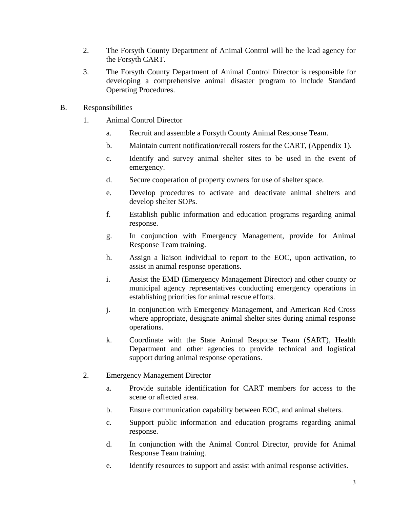- 2. The Forsyth County Department of Animal Control will be the lead agency for the Forsyth CART.
- 3. The Forsyth County Department of Animal Control Director is responsible for developing a comprehensive animal disaster program to include Standard Operating Procedures.
- B. Responsibilities
	- 1. Animal Control Director
		- a. Recruit and assemble a Forsyth County Animal Response Team.
		- b. Maintain current notification/recall rosters for the CART, (Appendix 1).
		- c. Identify and survey animal shelter sites to be used in the event of emergency.
		- d. Secure cooperation of property owners for use of shelter space.
		- e. Develop procedures to activate and deactivate animal shelters and develop shelter SOPs.
		- f. Establish public information and education programs regarding animal response.
		- g. In conjunction with Emergency Management, provide for Animal Response Team training.
		- h. Assign a liaison individual to report to the EOC, upon activation, to assist in animal response operations.
		- i. Assist the EMD (Emergency Management Director) and other county or municipal agency representatives conducting emergency operations in establishing priorities for animal rescue efforts.
		- j. In conjunction with Emergency Management, and American Red Cross where appropriate, designate animal shelter sites during animal response operations.
		- k. Coordinate with the State Animal Response Team (SART), Health Department and other agencies to provide technical and logistical support during animal response operations.
	- 2. Emergency Management Director
		- a. Provide suitable identification for CART members for access to the scene or affected area.
		- b. Ensure communication capability between EOC, and animal shelters.
		- c. Support public information and education programs regarding animal response.
		- d. In conjunction with the Animal Control Director, provide for Animal Response Team training.
		- e. Identify resources to support and assist with animal response activities.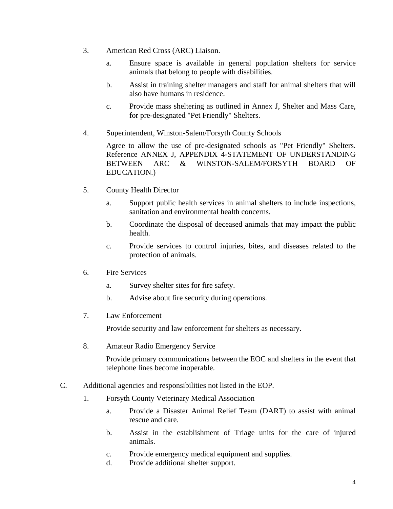- 3. American Red Cross (ARC) Liaison.
	- a. Ensure space is available in general population shelters for service animals that belong to people with disabilities.
	- b. Assist in training shelter managers and staff for animal shelters that will also have humans in residence.
	- c. Provide mass sheltering as outlined in Annex J, Shelter and Mass Care, for pre-designated "Pet Friendly" Shelters.
- 4. Superintendent, Winston-Salem/Forsyth County Schools

 Agree to allow the use of pre-designated schools as "Pet Friendly" Shelters. Reference ANNEX J, APPENDIX 4-STATEMENT OF UNDERSTANDING BETWEEN ARC & WINSTON-SALEM/FORSYTH BOARD OF EDUCATION.)

- 5. County Health Director
	- a. Support public health services in animal shelters to include inspections, sanitation and environmental health concerns.
	- b. Coordinate the disposal of deceased animals that may impact the public health.
	- c. Provide services to control injuries, bites, and diseases related to the protection of animals.
- 6. Fire Services
	- a. Survey shelter sites for fire safety.
	- b. Advise about fire security during operations.
- 7. Law Enforcement

Provide security and law enforcement for shelters as necessary.

8. Amateur Radio Emergency Service

 Provide primary communications between the EOC and shelters in the event that telephone lines become inoperable.

- C. Additional agencies and responsibilities not listed in the EOP.
	- 1. Forsyth County Veterinary Medical Association
		- a. Provide a Disaster Animal Relief Team (DART) to assist with animal rescue and care.
		- b. Assist in the establishment of Triage units for the care of injured animals.
		- c. Provide emergency medical equipment and supplies.
		- d. Provide additional shelter support.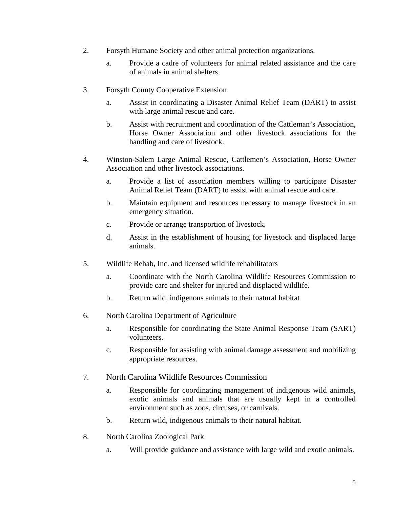- 2. Forsyth Humane Society and other animal protection organizations.
	- a. Provide a cadre of volunteers for animal related assistance and the care of animals in animal shelters
- 3. Forsyth County Cooperative Extension
	- a. Assist in coordinating a Disaster Animal Relief Team (DART) to assist with large animal rescue and care.
	- b. Assist with recruitment and coordination of the Cattleman's Association, Horse Owner Association and other livestock associations for the handling and care of livestock.
- 4. Winston-Salem Large Animal Rescue, Cattlemen's Association, Horse Owner Association and other livestock associations.
	- a. Provide a list of association members willing to participate Disaster Animal Relief Team (DART) to assist with animal rescue and care.
	- b. Maintain equipment and resources necessary to manage livestock in an emergency situation.
	- c. Provide or arrange transportion of livestock.
	- d. Assist in the establishment of housing for livestock and displaced large animals.
- 5. Wildlife Rehab, Inc. and licensed wildlife rehabilitators
	- a. Coordinate with the North Carolina Wildlife Resources Commission to provide care and shelter for injured and displaced wildlife.
	- b. Return wild, indigenous animals to their natural habitat
- 6. North Carolina Department of Agriculture
	- a. Responsible for coordinating the State Animal Response Team (SART) volunteers.
	- c. Responsible for assisting with animal damage assessment and mobilizing appropriate resources.
- 7. North Carolina Wildlife Resources Commission
	- a. Responsible for coordinating management of indigenous wild animals, exotic animals and animals that are usually kept in a controlled environment such as zoos, circuses, or carnivals.
	- b. Return wild, indigenous animals to their natural habitat.
- 8. North Carolina Zoological Park
	- a. Will provide guidance and assistance with large wild and exotic animals.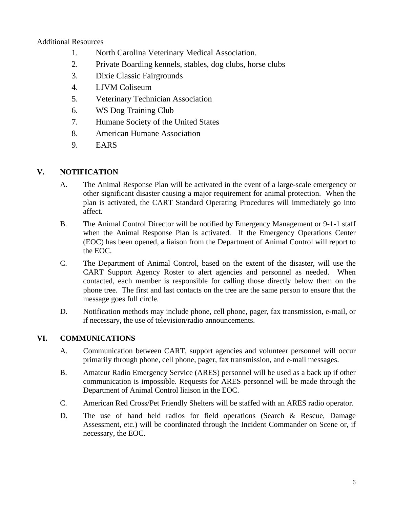#### Additional Resources

- 1. North Carolina Veterinary Medical Association.
- 2. Private Boarding kennels, stables, dog clubs, horse clubs
- 3. Dixie Classic Fairgrounds
- 4. LJVM Coliseum
- 5. Veterinary Technician Association
- 6. WS Dog Training Club
- 7. Humane Society of the United States
- 8. American Humane Association
- 9. EARS

#### **V. NOTIFICATION**

- A. The Animal Response Plan will be activated in the event of a large-scale emergency or other significant disaster causing a major requirement for animal protection. When the plan is activated, the CART Standard Operating Procedures will immediately go into affect.
- B. The Animal Control Director will be notified by Emergency Management or 9-1-1 staff when the Animal Response Plan is activated. If the Emergency Operations Center (EOC) has been opened, a liaison from the Department of Animal Control will report to the EOC.
- C. The Department of Animal Control, based on the extent of the disaster, will use the CART Support Agency Roster to alert agencies and personnel as needed. When contacted, each member is responsible for calling those directly below them on the phone tree. The first and last contacts on the tree are the same person to ensure that the message goes full circle.
- D. Notification methods may include phone, cell phone, pager, fax transmission, e-mail, or if necessary, the use of television/radio announcements.

#### **VI. COMMUNICATIONS**

- A. Communication between CART, support agencies and volunteer personnel will occur primarily through phone, cell phone, pager, fax transmission, and e-mail messages.
- B. Amateur Radio Emergency Service (ARES) personnel will be used as a back up if other communication is impossible. Requests for ARES personnel will be made through the Department of Animal Control liaison in the EOC.
- C. American Red Cross/Pet Friendly Shelters will be staffed with an ARES radio operator.
- D. The use of hand held radios for field operations (Search & Rescue, Damage Assessment, etc.) will be coordinated through the Incident Commander on Scene or, if necessary, the EOC.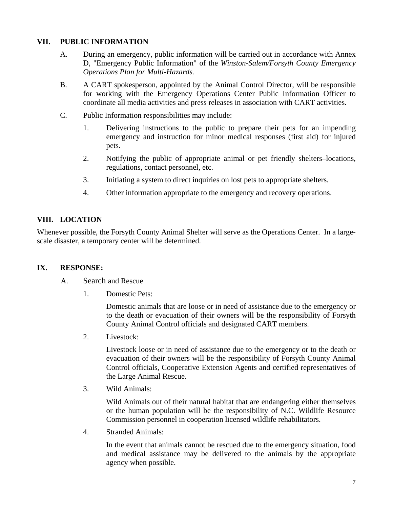#### **VII. PUBLIC INFORMATION**

- A. During an emergency, public information will be carried out in accordance with Annex D, "Emergency Public Information" of the *Winston-Salem/Forsyth County Emergency Operations Plan for Multi-Hazards.*
- B. A CART spokesperson, appointed by the Animal Control Director, will be responsible for working with the Emergency Operations Center Public Information Officer to coordinate all media activities and press releases in association with CART activities.
- C. Public Information responsibilities may include:
	- 1. Delivering instructions to the public to prepare their pets for an impending emergency and instruction for minor medical responses (first aid) for injured pets.
	- 2. Notifying the public of appropriate animal or pet friendly shelters–locations, regulations, contact personnel, etc.
	- 3. Initiating a system to direct inquiries on lost pets to appropriate shelters.
	- 4. Other information appropriate to the emergency and recovery operations.

#### **VIII. LOCATION**

Whenever possible, the Forsyth County Animal Shelter will serve as the Operations Center. In a largescale disaster, a temporary center will be determined.

#### **IX. RESPONSE:**

- A. Search and Rescue
	- 1. Domestic Pets:

Domestic animals that are loose or in need of assistance due to the emergency or to the death or evacuation of their owners will be the responsibility of Forsyth County Animal Control officials and designated CART members.

2. Livestock:

Livestock loose or in need of assistance due to the emergency or to the death or evacuation of their owners will be the responsibility of Forsyth County Animal Control officials, Cooperative Extension Agents and certified representatives of the Large Animal Rescue.

3. Wild Animals:

Wild Animals out of their natural habitat that are endangering either themselves or the human population will be the responsibility of N.C. Wildlife Resource Commission personnel in cooperation licensed wildlife rehabilitators.

4. Stranded Animals:

In the event that animals cannot be rescued due to the emergency situation, food and medical assistance may be delivered to the animals by the appropriate agency when possible.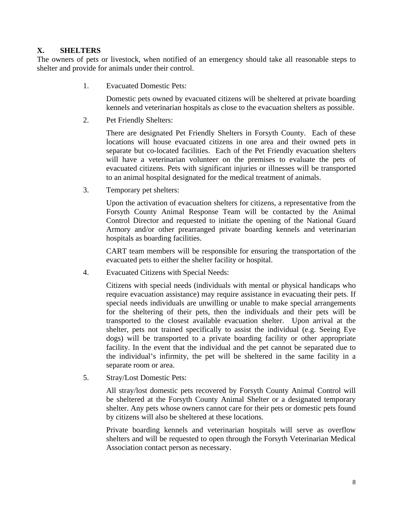#### **X. SHELTERS**

The owners of pets or livestock, when notified of an emergency should take all reasonable steps to shelter and provide for animals under their control.

1. Evacuated Domestic Pets:

Domestic pets owned by evacuated citizens will be sheltered at private boarding kennels and veterinarian hospitals as close to the evacuation shelters as possible.

2. Pet Friendly Shelters:

There are designated Pet Friendly Shelters in Forsyth County. Each of these locations will house evacuated citizens in one area and their owned pets in separate but co-located facilities. Each of the Pet Friendly evacuation shelters will have a veterinarian volunteer on the premises to evaluate the pets of evacuated citizens. Pets with significant injuries or illnesses will be transported to an animal hospital designated for the medical treatment of animals.

3. Temporary pet shelters:

Upon the activation of evacuation shelters for citizens, a representative from the Forsyth County Animal Response Team will be contacted by the Animal Control Director and requested to initiate the opening of the National Guard Armory and/or other prearranged private boarding kennels and veterinarian hospitals as boarding facilities.

CART team members will be responsible for ensuring the transportation of the evacuated pets to either the shelter facility or hospital.

4. Evacuated Citizens with Special Needs:

Citizens with special needs (individuals with mental or physical handicaps who require evacuation assistance) may require assistance in evacuating their pets. If special needs individuals are unwilling or unable to make special arrangements for the sheltering of their pets, then the individuals and their pets will be transported to the closest available evacuation shelter. Upon arrival at the shelter, pets not trained specifically to assist the individual (e.g. Seeing Eye dogs) will be transported to a private boarding facility or other appropriate facility. In the event that the individual and the pet cannot be separated due to the individual's infirmity, the pet will be sheltered in the same facility in a separate room or area.

5. Stray/Lost Domestic Pets:

All stray/lost domestic pets recovered by Forsyth County Animal Control will be sheltered at the Forsyth County Animal Shelter or a designated temporary shelter. Any pets whose owners cannot care for their pets or domestic pets found by citizens will also be sheltered at these locations.

Private boarding kennels and veterinarian hospitals will serve as overflow shelters and will be requested to open through the Forsyth Veterinarian Medical Association contact person as necessary.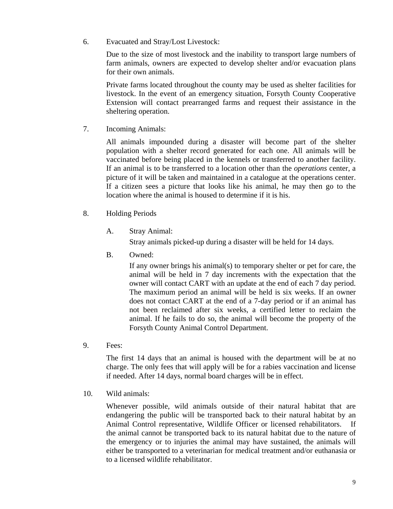6. Evacuated and Stray/Lost Livestock:

Due to the size of most livestock and the inability to transport large numbers of farm animals, owners are expected to develop shelter and/or evacuation plans for their own animals.

Private farms located throughout the county may be used as shelter facilities for livestock. In the event of an emergency situation, Forsyth County Cooperative Extension will contact prearranged farms and request their assistance in the sheltering operation.

7. Incoming Animals:

 All animals impounded during a disaster will become part of the shelter population with a shelter record generated for each one. All animals will be vaccinated before being placed in the kennels or transferred to another facility. If an animal is to be transferred to a location other than the *operations* center, a picture of it will be taken and maintained in a catalogue at the operations center. If a citizen sees a picture that looks like his animal, he may then go to the location where the animal is housed to determine if it is his.

- 8. Holding Periods
	- A. Stray Animal:

Stray animals picked-up during a disaster will be held for 14 days.

B. Owned:

 If any owner brings his animal(s) to temporary shelter or pet for care, the animal will be held in 7 day increments with the expectation that the owner will contact CART with an update at the end of each 7 day period. The maximum period an animal will be held is six weeks. If an owner does not contact CART at the end of a 7-day period or if an animal has not been reclaimed after six weeks, a certified letter to reclaim the animal. If he fails to do so, the animal will become the property of the Forsyth County Animal Control Department.

9. Fees:

The first 14 days that an animal is housed with the department will be at no charge. The only fees that will apply will be for a rabies vaccination and license if needed. After 14 days, normal board charges will be in effect.

10. Wild animals:

Whenever possible, wild animals outside of their natural habitat that are endangering the public will be transported back to their natural habitat by an Animal Control representative, Wildlife Officer or licensed rehabilitators. If the animal cannot be transported back to its natural habitat due to the nature of the emergency or to injuries the animal may have sustained, the animals will either be transported to a veterinarian for medical treatment and/or euthanasia or to a licensed wildlife rehabilitator.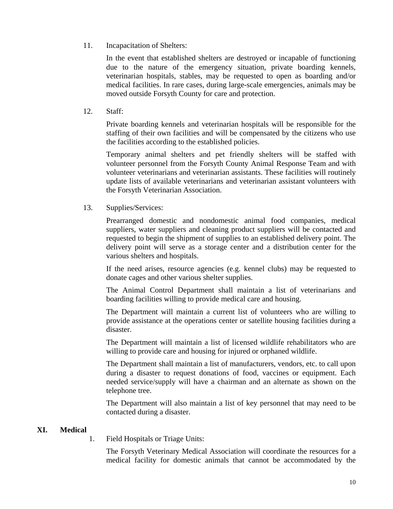11. Incapacitation of Shelters:

In the event that established shelters are destroyed or incapable of functioning due to the nature of the emergency situation, private boarding kennels, veterinarian hospitals, stables, may be requested to open as boarding and/or medical facilities. In rare cases, during large-scale emergencies, animals may be moved outside Forsyth County for care and protection.

12. Staff:

Private boarding kennels and veterinarian hospitals will be responsible for the staffing of their own facilities and will be compensated by the citizens who use the facilities according to the established policies.

Temporary animal shelters and pet friendly shelters will be staffed with volunteer personnel from the Forsyth County Animal Response Team and with volunteer veterinarians and veterinarian assistants. These facilities will routinely update lists of available veterinarians and veterinarian assistant volunteers with the Forsyth Veterinarian Association.

13. Supplies/Services:

Prearranged domestic and nondomestic animal food companies, medical suppliers, water suppliers and cleaning product suppliers will be contacted and requested to begin the shipment of supplies to an established delivery point. The delivery point will serve as a storage center and a distribution center for the various shelters and hospitals.

If the need arises, resource agencies (e.g. kennel clubs) may be requested to donate cages and other various shelter supplies.

The Animal Control Department shall maintain a list of veterinarians and boarding facilities willing to provide medical care and housing.

The Department will maintain a current list of volunteers who are willing to provide assistance at the operations center or satellite housing facilities during a disaster.

The Department will maintain a list of licensed wildlife rehabilitators who are willing to provide care and housing for injured or orphaned wildlife.

The Department shall maintain a list of manufacturers, vendors, etc. to call upon during a disaster to request donations of food, vaccines or equipment. Each needed service/supply will have a chairman and an alternate as shown on the telephone tree.

The Department will also maintain a list of key personnel that may need to be contacted during a disaster.

#### **XI. Medical**

1. Field Hospitals or Triage Units:

The Forsyth Veterinary Medical Association will coordinate the resources for a medical facility for domestic animals that cannot be accommodated by the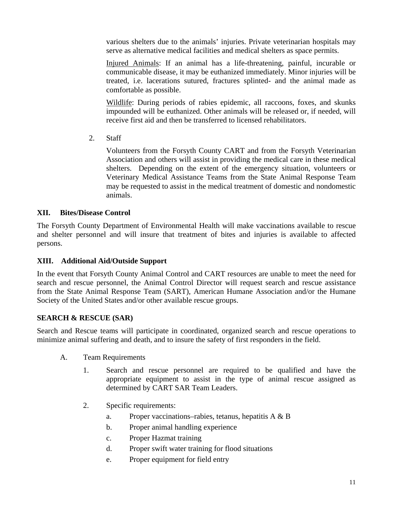various shelters due to the animals' injuries. Private veterinarian hospitals may serve as alternative medical facilities and medical shelters as space permits.

Injured Animals: If an animal has a life-threatening, painful, incurable or communicable disease, it may be euthanized immediately. Minor injuries will be treated, i.e. lacerations sutured, fractures splinted- and the animal made as comfortable as possible.

Wildlife: During periods of rabies epidemic, all raccoons, foxes, and skunks impounded will be euthanized. Other animals will be released or, if needed, will receive first aid and then be transferred to licensed rehabilitators.

2. Staff

Volunteers from the Forsyth County CART and from the Forsyth Veterinarian Association and others will assist in providing the medical care in these medical shelters. Depending on the extent of the emergency situation, volunteers or Veterinary Medical Assistance Teams from the State Animal Response Team may be requested to assist in the medical treatment of domestic and nondomestic animals.

### **XII. Bites/Disease Control**

The Forsyth County Department of Environmental Health will make vaccinations available to rescue and shelter personnel and will insure that treatment of bites and injuries is available to affected persons.

#### **XIII. Additional Aid/Outside Support**

In the event that Forsyth County Animal Control and CART resources are unable to meet the need for search and rescue personnel, the Animal Control Director will request search and rescue assistance from the State Animal Response Team (SART), American Humane Association and/or the Humane Society of the United States and/or other available rescue groups.

### **SEARCH & RESCUE (SAR)**

Search and Rescue teams will participate in coordinated, organized search and rescue operations to minimize animal suffering and death, and to insure the safety of first responders in the field.

- A. Team Requirements
	- 1. Search and rescue personnel are required to be qualified and have the appropriate equipment to assist in the type of animal rescue assigned as determined by CART SAR Team Leaders.
	- 2. Specific requirements:
		- a. Proper vaccinations–rabies, tetanus, hepatitis A & B
		- b. Proper animal handling experience
		- c. Proper Hazmat training
		- d. Proper swift water training for flood situations
		- e. Proper equipment for field entry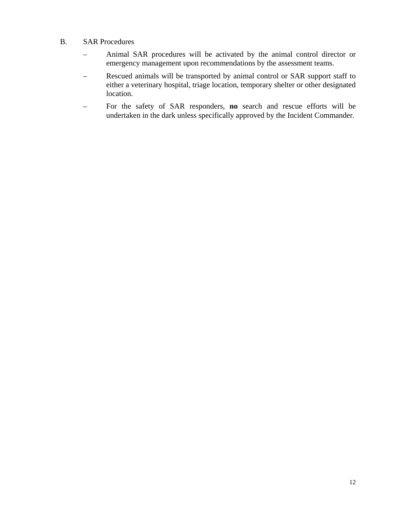- B. SAR Procedures
	- Animal SAR procedures will be activated by the animal control director or emergency management upon recommendations by the assessment teams.
	- Rescued animals will be transported by animal control or SAR support staff to either a veterinary hospital, triage location, temporary shelter or other designated location.
	- For the safety of SAR responders, **no** search and rescue efforts will be undertaken in the dark unless specifically approved by the Incident Commander.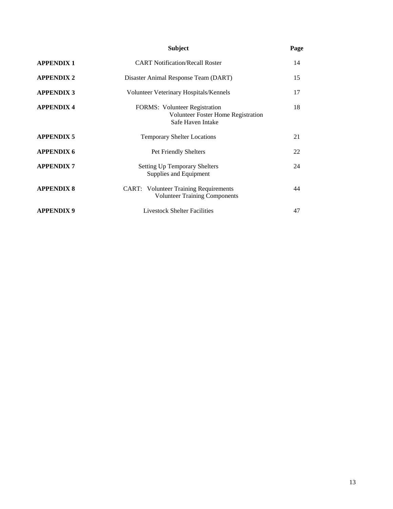|                   | <b>Subject</b>                                                                                  | Page |
|-------------------|-------------------------------------------------------------------------------------------------|------|
| <b>APPENDIX 1</b> | <b>CART Notification/Recall Roster</b>                                                          | 14   |
| <b>APPENDIX 2</b> | Disaster Animal Response Team (DART)                                                            | 15   |
| <b>APPENDIX 3</b> | Volunteer Veterinary Hospitals/Kennels                                                          | 17   |
| <b>APPENDIX 4</b> | <b>FORMS:</b> Volunteer Registration<br>Volunteer Foster Home Registration<br>Safe Haven Intake | 18   |
| <b>APPENDIX 5</b> | <b>Temporary Shelter Locations</b>                                                              | 21   |
| <b>APPENDIX 6</b> | Pet Friendly Shelters                                                                           | 22   |
| <b>APPENDIX7</b>  | <b>Setting Up Temporary Shelters</b><br>Supplies and Equipment                                  | 24   |
| <b>APPENDIX 8</b> | <b>CART:</b> Volunteer Training Requirements<br><b>Volunteer Training Components</b>            | 44   |
| <b>APPENDIX 9</b> | <b>Livestock Shelter Facilities</b>                                                             | 47   |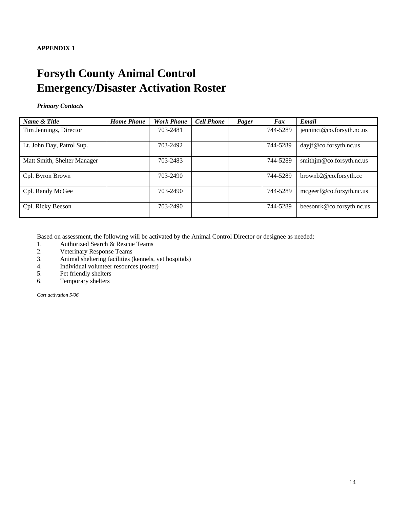# **Forsyth County Animal Control Emergency/Disaster Activation Roster**

#### *Primary Contacts*

| Name & Title                | <b>Home Phone</b> | <b>Work Phone</b> | <b>Cell Phone</b> | Pager | Fax      | Email                     |
|-----------------------------|-------------------|-------------------|-------------------|-------|----------|---------------------------|
| Tim Jennings, Director      |                   | 703-2481          |                   |       | 744-5289 | jenninct@co.forsyth.nc.us |
| Lt. John Day, Patrol Sup.   |                   | 703-2492          |                   |       | 744-5289 | dayjf@co.forsyth.nc.us    |
| Matt Smith, Shelter Manager |                   | 703-2483          |                   |       | 744-5289 | smithjm@co.forsyth.nc.us  |
| Cpl. Byron Brown            |                   | 703-2490          |                   |       | 744-5289 | $brown b2@co.forsyth.$ cc |
| Cpl. Randy McGee            |                   | 703-2490          |                   |       | 744-5289 | mcgeerf@co.forsyth.nc.us  |
| Cpl. Ricky Beeson           |                   | 703-2490          |                   |       | 744-5289 | beesonrk@co.forsyth.nc.us |

Based on assessment, the following will be activated by the Animal Control Director or designee as needed:

- 1. Authorized Search & Rescue Teams
- 2. Veterinary Response Teams
- 3. Animal sheltering facilities (kennels, vet hospitals)
- 4. Individual volunteer resources (roster)
- 5. Pet friendly shelters
- 6. Temporary shelters

*Cart activation 5/06*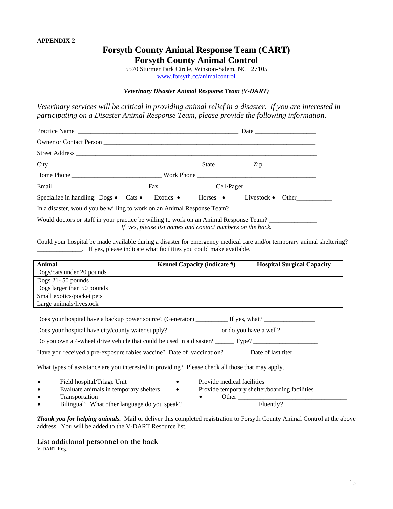### **Forsyth County Animal Response Team (CART) Forsyth County Animal Control**

5570 Sturmer Park Circle, Winston-Salem, NC 27105 [www.forsyth.cc/animalcontrol](http://www.forsyth.cc/animalcontrol)

#### *Veterinary Disaster Animal Response Team (V-DART)*

*Veterinary services will be critical in providing animal relief in a disaster. If you are interested in participating on a Disaster Animal Response Team, please provide the following information.* 

|                                                                                        |                                                            | Specialize in handling: Dogs · Cats · Exotics · Horses · Livestock · Other |
|----------------------------------------------------------------------------------------|------------------------------------------------------------|----------------------------------------------------------------------------|
| In a disaster, would you be willing to work on an Animal Response Team?                |                                                            |                                                                            |
| Would doctors or staff in your practice be willing to work on an Animal Response Team? | If yes, please list names and contact numbers on the back. |                                                                            |

Could your hospital be made available during a disaster for emergency medical care and/or temporary animal sheltering? \_\_\_\_\_\_\_\_\_\_\_\_\_\_. If yes, please indicate what facilities you could make available.

| <b>Animal</b>              | Kennel Capacity (indicate #) | <b>Hospital Surgical Capacity</b> |
|----------------------------|------------------------------|-----------------------------------|
| Dogs/cats under 20 pounds  |                              |                                   |
| Dogs $21 - 50$ pounds      |                              |                                   |
| Dogs larger than 50 pounds |                              |                                   |
| Small exotics/pocket pets  |                              |                                   |
| Large animals/livestock    |                              |                                   |
|                            |                              |                                   |

| Does your hospital have a backup power source? (Generator) If yes, what?                         |  |
|--------------------------------------------------------------------------------------------------|--|
|                                                                                                  |  |
|                                                                                                  |  |
| Have you received a pre-exposure rabies vaccine? Date of vaccination? Date of last titer         |  |
| What types of assistance are you interested in providing? Please check all those that may apply. |  |

- Field hospital/Triage Unit Provide medical facilities<br>• Evaluate animals in temporary shelters Provide temporary shelter.
- Evaluate animals in temporary shelters Provide temporary shelter/boarding facilities • Transportation • Other \_\_\_\_\_\_\_\_\_\_\_\_\_\_\_\_\_\_\_\_\_\_\_\_\_\_\_\_\_\_\_\_\_\_
- Bilingual? What other language do you speak? \_\_\_\_\_\_\_\_\_\_\_\_\_\_\_\_\_\_\_\_\_\_\_ Fluently? \_\_\_\_\_\_\_\_\_\_\_

*Thank you for helping animals.* Mail or deliver this completed registration to Forsyth County Animal Control at the above address. You will be added to the V-DART Resource list.

**List additional personnel on the back**  V-DART Reg.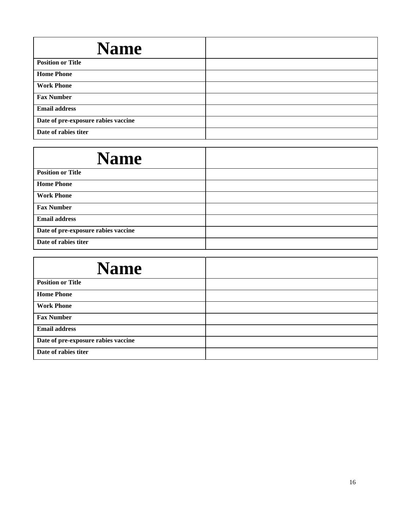| <b>Name</b>                         |  |
|-------------------------------------|--|
| <b>Position or Title</b>            |  |
| <b>Home Phone</b>                   |  |
| <b>Work Phone</b>                   |  |
| <b>Fax Number</b>                   |  |
| <b>Email address</b>                |  |
| Date of pre-exposure rabies vaccine |  |
| Date of rabies titer                |  |

| <b>Name</b>                         |  |
|-------------------------------------|--|
| <b>Position or Title</b>            |  |
| <b>Home Phone</b>                   |  |
| <b>Work Phone</b>                   |  |
| <b>Fax Number</b>                   |  |
| <b>Email address</b>                |  |
| Date of pre-exposure rabies vaccine |  |
| Date of rabies titer                |  |

| <b>Name</b>                         |  |
|-------------------------------------|--|
| <b>Position or Title</b>            |  |
| <b>Home Phone</b>                   |  |
| <b>Work Phone</b>                   |  |
| <b>Fax Number</b>                   |  |
| <b>Email address</b>                |  |
| Date of pre-exposure rabies vaccine |  |
| Date of rabies titer                |  |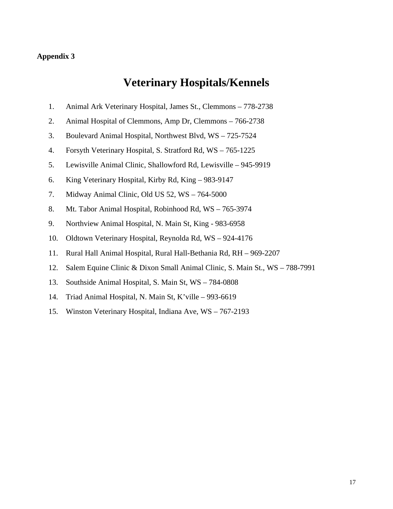#### **Appendix 3**

# **Veterinary Hospitals/Kennels**

- 1. Animal Ark Veterinary Hospital, James St., Clemmons 778-2738
- 2. Animal Hospital of Clemmons, Amp Dr, Clemmons 766-2738
- 3. Boulevard Animal Hospital, Northwest Blvd, WS 725-7524
- 4. Forsyth Veterinary Hospital, S. Stratford Rd, WS 765-1225
- 5. Lewisville Animal Clinic, Shallowford Rd, Lewisville 945-9919
- 6. King Veterinary Hospital, Kirby Rd, King 983-9147
- 7. Midway Animal Clinic, Old US 52, WS 764-5000
- 8. Mt. Tabor Animal Hospital, Robinhood Rd, WS 765-3974
- 9. Northview Animal Hospital, N. Main St, King 983-6958
- 10. Oldtown Veterinary Hospital, Reynolda Rd, WS 924-4176
- 11. Rural Hall Animal Hospital, Rural Hall-Bethania Rd, RH 969-2207
- 12. Salem Equine Clinic & Dixon Small Animal Clinic, S. Main St., WS 788-7991
- 13. Southside Animal Hospital, S. Main St, WS 784-0808
- 14. Triad Animal Hospital, N. Main St, K'ville 993-6619
- 15. Winston Veterinary Hospital, Indiana Ave, WS 767-2193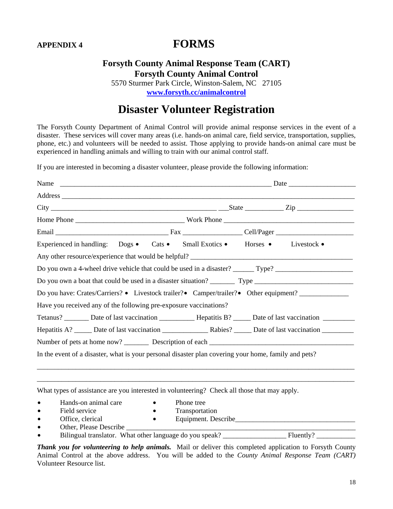# **APPENDIX 4 FORMS**

## **Forsyth County Animal Response Team (CART) Forsyth County Animal Control**

5570 Sturmer Park Circle, Winston-Salem, NC 27105 **[www.forsyth.cc/animalcontrol](http://www.forsyth.cc/animalcontrol)**

# **Disaster Volunteer Registration**

The Forsyth County Department of Animal Control will provide animal response services in the event of a disaster. These services will cover many areas (i.e. hands-on animal care, field service, transportation, supplies, phone, etc.) and volunteers will be needed to assist. Those applying to provide hands-on animal care must be experienced in handling animals and willing to train with our animal control staff.

If you are interested in becoming a disaster volunteer, please provide the following information:

|                                                                                              |                         | Address                                                                                                             |  |  |
|----------------------------------------------------------------------------------------------|-------------------------|---------------------------------------------------------------------------------------------------------------------|--|--|
|                                                                                              |                         |                                                                                                                     |  |  |
|                                                                                              |                         |                                                                                                                     |  |  |
|                                                                                              |                         |                                                                                                                     |  |  |
|                                                                                              |                         | Experienced in handling: Dogs • Cats • Small Exotics • Horses • Livestock •                                         |  |  |
|                                                                                              |                         |                                                                                                                     |  |  |
|                                                                                              |                         | Do you own a 4-wheel drive vehicle that could be used in a disaster? ______ Type? ____________________________      |  |  |
|                                                                                              |                         |                                                                                                                     |  |  |
|                                                                                              |                         | Do you have: Crates/Carriers? • Livestock trailer? • Camper/trailer? • Other equipment? ___________                 |  |  |
| Have you received any of the following pre-exposure vaccinations?                            |                         |                                                                                                                     |  |  |
|                                                                                              |                         | Tetanus? _________ Date of last vaccination _______________ Hepatitis B? ______ Date of last vaccination __________ |  |  |
|                                                                                              |                         |                                                                                                                     |  |  |
|                                                                                              |                         |                                                                                                                     |  |  |
|                                                                                              |                         | In the event of a disaster, what is your personal disaster plan covering your home, family and pets?                |  |  |
|                                                                                              |                         |                                                                                                                     |  |  |
|                                                                                              |                         |                                                                                                                     |  |  |
| What types of assistance are you interested in volunteering? Check all those that may apply. |                         |                                                                                                                     |  |  |
| Hands-on animal care                                                                         | Phone tree<br>$\bullet$ |                                                                                                                     |  |  |

- 
- 
- 
- Field service Transportation
- Office, clerical Equipment. Describe\_\_\_\_\_\_\_\_\_\_\_\_\_\_\_\_\_\_\_\_\_\_\_\_\_\_\_\_\_\_\_\_\_\_
- 
- 
- 
- Other, Please Describe \_\_\_\_\_\_\_\_\_\_\_\_\_\_\_\_\_\_\_\_\_\_\_\_\_\_\_\_\_\_\_\_\_\_\_\_\_\_\_\_\_\_\_\_\_\_\_\_\_\_\_\_\_\_\_\_\_\_\_\_\_\_\_\_\_ Bilingual translator. What other language do you speak?

*Thank you for volunteering to help animals.* Mail or deliver this completed application to Forsyth County Animal Control at the above address. You will be added to the *County Animal Response Team (CART)* Volunteer Resource list.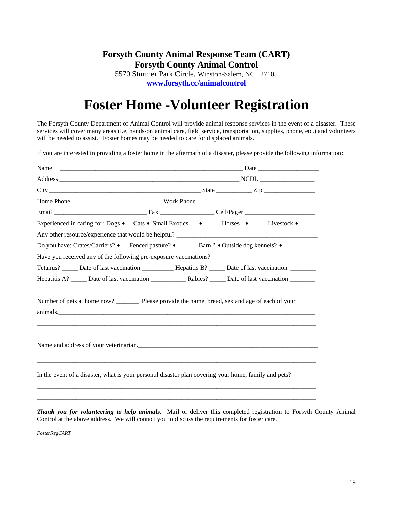# **Forsyth County Animal Response Team (CART) Forsyth County Animal Control**

5570 Sturmer Park Circle, Winston-Salem, NC 27105 **[www.forsyth.cc/animalcontrol](http://www.forsyth.cc/animalcontrol)**

# **Foster Home -Volunteer Registration**

The Forsyth County Department of Animal Control will provide animal response services in the event of a disaster. These services will cover many areas (i.e. hands-on animal care, field service, transportation, supplies, phone, etc.) and volunteers will be needed to assist. Foster homes may be needed to care for displaced animals.

If you are interested in providing a foster home in the aftermath of a disaster, please provide the following information:

| Experienced in caring for: Dogs • Cats • Small Exotics • Horses • Livestock •<br>Any other resource/experience that would be helpful? |  |  |  |  |
|---------------------------------------------------------------------------------------------------------------------------------------|--|--|--|--|
| Do you have: Crates/Carriers? • Fenced pasture? • Barn ? • Outside dog kennels? •                                                     |  |  |  |  |
| Have you received any of the following pre-exposure vaccinations?                                                                     |  |  |  |  |
| Tetanus? ______ Date of last vaccination _____________ Hepatitis B? ______ Date of last vaccination _________                         |  |  |  |  |
| Hepatitis A? ______ Date of last vaccination _________________ Rabies? ______ Date of last vaccination ________                       |  |  |  |  |
| Number of pets at home now? ___________ Please provide the name, breed, sex and age of each of your                                   |  |  |  |  |
| Name and address of your veterinarian.                                                                                                |  |  |  |  |
| In the event of a disaster, what is your personal disaster plan covering your home, family and pets?                                  |  |  |  |  |

*Thank you for volunteering to help animals.* Mail or deliver this completed registration to Forsyth County Animal Control at the above address. We will contact you to discuss the requirements for foster care.

\_\_\_\_\_\_\_\_\_\_\_\_\_\_\_\_\_\_\_\_\_\_\_\_\_\_\_\_\_\_\_\_\_\_\_\_\_\_\_\_\_\_\_\_\_\_\_\_\_\_\_\_\_\_\_\_\_\_\_\_\_\_\_\_\_\_\_\_\_\_\_\_\_\_\_\_\_\_\_\_\_\_\_\_\_\_\_

*FosterRegCART*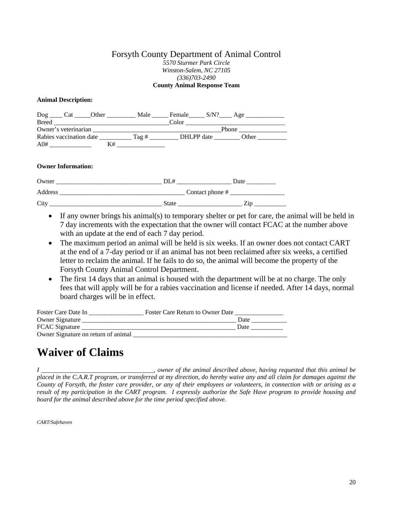#### Forsyth County Department of Animal Control *5570 Sturmer Park Circle Winston-Salem, NC 27105 (336)703-2490*  **County Animal Response Team**

#### **Animal Description:**

| $\log$<br>Cat Other     | Male | Female     | S/N? Age |
|-------------------------|------|------------|----------|
| <b>Breed</b>            |      | Color      |          |
| Owner's veterinarian    |      |            | Phone    |
| Rabies vaccination date | Tag# | DHLPP date | Other    |
| A0#                     | K#   |            |          |
|                         |      |            |          |

#### **Owner Information:**

| Owner   | DL#               | Date  |
|---------|-------------------|-------|
| Address | Contact phone $#$ |       |
| City    | <b>State</b>      | 7.1 D |

- If any owner brings his animal(s) to temporary shelter or pet for care, the animal will be held in 7 day increments with the expectation that the owner will contact FCAC at the number above with an update at the end of each 7 day period.
- The maximum period an animal will be held is six weeks. If an owner does not contact CART at the end of a 7-day period or if an animal has not been reclaimed after six weeks, a certified letter to reclaim the animal. If he fails to do so, the animal will become the property of the Forsyth County Animal Control Department.
- The first 14 days that an animal is housed with the department will be at no charge. The only fees that will apply will be for a rabies vaccination and license if needed. After 14 days, normal board charges will be in effect.

| Foster Care Date In                 | Foster Care Return to Owner Date |      |
|-------------------------------------|----------------------------------|------|
| Owner Signature                     |                                  | Date |
| FCAC Signature                      |                                  | Date |
| Owner Signature on return of animal |                                  |      |

# **Waiver of Claims**

*I \_\_\_\_\_\_\_\_\_\_\_\_\_\_\_\_\_\_\_\_\_\_\_\_\_\_\_\_\_\_\_\_\_\_\_, owner of the animal described above, having requested that this animal be placed in the C.A.R.T program, or transferred at my direction, do hereby waive any and all claim for damages against the County of Forsyth, the foster care provider, or any of their employees or volunteers, in connection with or arising as a result of my participation in the CART program. I expressly authorize the Safe Have program to provide housing and board for the animal described above for the time period specified above.* 

*CART/Safehaven*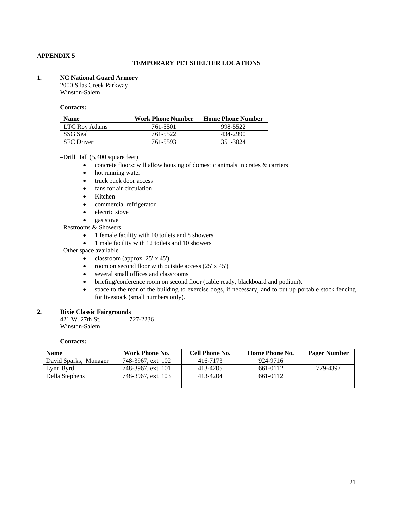#### **APPENDIX 5**

#### **TEMPORARY PET SHELTER LOCATIONS**

#### **1. NC National Guard Armory**

2000 Silas Creek Parkway Winston-Salem

#### **Contacts:**

| <b>Name</b>       | <b>Work Phone Number</b> | <b>Home Phone Number</b> |
|-------------------|--------------------------|--------------------------|
| LTC Roy Adams     | 761-5501                 | 998-5522                 |
| SSG Seal          | 761-5522                 | 434-2990                 |
| <b>SFC</b> Driver | 761-5593                 | 351-3024                 |

#### –Drill Hall (5,400 square feet)

- concrete floors: will allow housing of domestic animals in crates & carriers
- hot running water
- truck back door access
- fans for air circulation
- Kitchen
- commercial refrigerator
- electric stove
- gas stove
- –Restrooms & Showers
	- 1 female facility with 10 toilets and 8 showers
	- 1 male facility with 12 toilets and 10 showers
- –Other space available
	- classroom (approx.  $25' \times 45'$ )
	- room on second floor with outside access  $(25' \times 45')$
	- several small offices and classrooms
	- briefing/conference room on second floor (cable ready, blackboard and podium).
	- space to the rear of the building to exercise dogs, if necessary, and to put up portable stock fencing for livestock (small numbers only).

#### **2. Dixie Classic Fairgrounds**

| 421 W. 27th St. | 727-2236 |
|-----------------|----------|
| Winston-Salem   |          |

#### **Contacts:**

| <b>Name</b>           | Work Phone No.     | Cell Phone No. | <b>Home Phone No.</b> | <b>Pager Number</b> |
|-----------------------|--------------------|----------------|-----------------------|---------------------|
| David Sparks, Manager | 748-3967, ext. 102 | 416-7173       | 924-9716              |                     |
| Lynn Byrd             | 748-3967, ext. 101 | 413-4205       | 661-0112              | 779-4397            |
| Della Stephens        | 748-3967, ext. 103 | 413-4204       | 661-0112              |                     |
|                       |                    |                |                       |                     |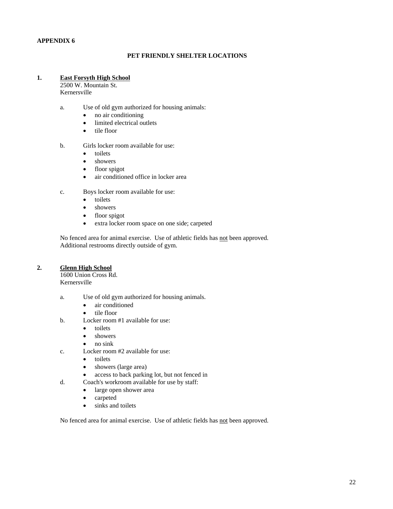#### **APPENDIX 6**

#### **PET FRIENDLY SHELTER LOCATIONS**

#### **1. East Forsyth High School**

2500 W. Mountain St. Kernersville

- a. Use of old gym authorized for housing animals:
	- no air conditioning
	- limited electrical outlets
	- tile floor
- b. Girls locker room available for use:
	- toilets
	- showers
	- floor spigot
	- air conditioned office in locker area
- c. Boys locker room available for use:
	- toilets
	- showers
	- floor spigot
	- extra locker room space on one side; carpeted

No fenced area for animal exercise. Use of athletic fields has not been approved. Additional restrooms directly outside of gym.

#### **2. Glenn High School**

1600 Union Cross Rd. Kernersville

- a. Use of old gym authorized for housing animals.
	- air conditioned
	- tile floor
- b. Locker room #1 available for use:
	- toilets
	- showers
	- no sink
- c. Locker room #2 available for use:
	- toilets
	- showers (large area)
	- access to back parking lot, but not fenced in
- d. Coach's workroom available for use by staff:
	- large open shower area
	- carpeted
	- sinks and toilets

No fenced area for animal exercise. Use of athletic fields has not been approved.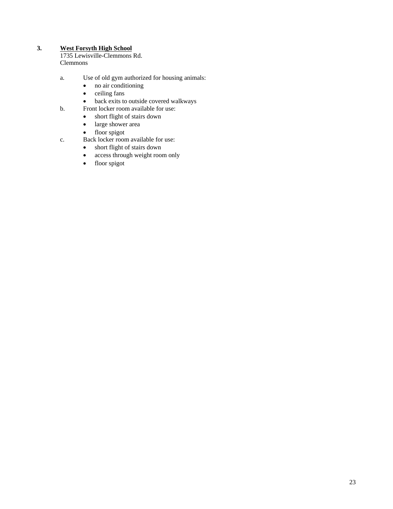#### **3. West Forsyth High School**

1735 Lewisville-Clemmons Rd. Clemmons

- a. Use of old gym authorized for housing animals:
	- no air conditioning
	- ceiling fans
	- back exits to outside covered walkways
- b. Front locker room available for use:
	- short flight of stairs down
	- large shower area
	- floor spigot
- c. Back locker room available for use:
	- short flight of stairs down
	- access through weight room only
	- floor spigot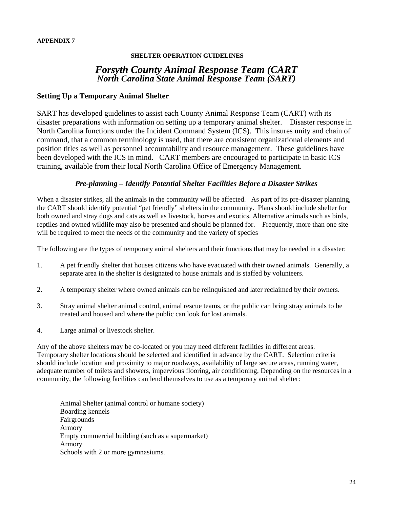#### **SHELTER OPERATION GUIDELINES**

### *Forsyth County Animal Response Team (CART North Carolina State Animal Response Team (SART)*

#### **Setting Up a Temporary Animal Shelter**

SART has developed guidelines to assist each County Animal Response Team (CART) with its disaster preparations with information on setting up a temporary animal shelter. Disaster response in North Carolina functions under the Incident Command System (ICS). This insures unity and chain of command, that a common terminology is used, that there are consistent organizational elements and position titles as well as personnel accountability and resource management. These guidelines have been developed with the ICS in mind. CART members are encouraged to participate in basic ICS training, available from their local North Carolina Office of Emergency Management.

#### *Pre-planning – Identify Potential Shelter Facilities Before a Disaster Strikes*

When a disaster strikes, all the animals in the community will be affected. As part of its pre-disaster planning, the CART should identify potential "pet friendly" shelters in the community. Plans should include shelter for both owned and stray dogs and cats as well as livestock, horses and exotics. Alternative animals such as birds, reptiles and owned wildlife may also be presented and should be planned for. Frequently, more than one site will be required to meet the needs of the community and the variety of species

The following are the types of temporary animal shelters and their functions that may be needed in a disaster:

- 1. A pet friendly shelter that houses citizens who have evacuated with their owned animals. Generally, a separate area in the shelter is designated to house animals and is staffed by volunteers.
- 2. A temporary shelter where owned animals can be relinquished and later reclaimed by their owners.
- 3. Stray animal shelter animal control, animal rescue teams, or the public can bring stray animals to be treated and housed and where the public can look for lost animals.
- 4. Large animal or livestock shelter.

Any of the above shelters may be co-located or you may need different facilities in different areas. Temporary shelter locations should be selected and identified in advance by the CART. Selection criteria should include location and proximity to major roadways, availability of large secure areas, running water, adequate number of toilets and showers, impervious flooring, air conditioning, Depending on the resources in a community, the following facilities can lend themselves to use as a temporary animal shelter:

 Animal Shelter (animal control or humane society) Boarding kennels Fairgrounds Armory Empty commercial building (such as a supermarket) Armory Schools with 2 or more gymnasiums.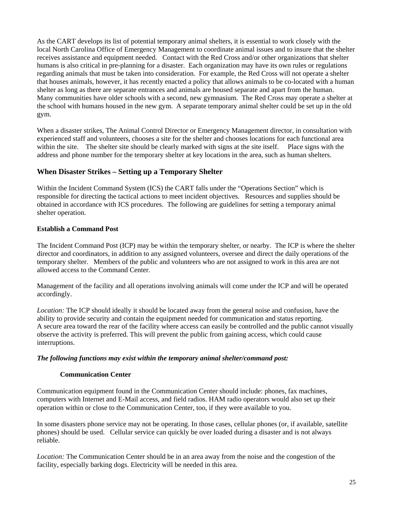As the CART develops its list of potential temporary animal shelters, it is essential to work closely with the local North Carolina Office of Emergency Management to coordinate animal issues and to insure that the shelter receives assistance and equipment needed. Contact with the Red Cross and/or other organizations that shelter humans is also critical in pre-planning for a disaster. Each organization may have its own rules or regulations regarding animals that must be taken into consideration. For example, the Red Cross will not operate a shelter that houses animals, however, it has recently enacted a policy that allows animals to be co-located with a human shelter as long as there are separate entrances and animals are housed separate and apart from the human. Many communities have older schools with a second, new gymnasium. The Red Cross may operate a shelter at the school with humans housed in the new gym. A separate temporary animal shelter could be set up in the old gym.

When a disaster strikes, The Animal Control Director or Emergency Management director, in consultation with experienced staff and volunteers, chooses a site for the shelter and chooses locations for each functional area within the site. The shelter site should be clearly marked with signs at the site itself. Place signs with the address and phone number for the temporary shelter at key locations in the area, such as human shelters.

#### **When Disaster Strikes – Setting up a Temporary Shelter**

Within the Incident Command System (ICS) the CART falls under the "Operations Section" which is responsible for directing the tactical actions to meet incident objectives. Resources and supplies should be obtained in accordance with ICS procedures. The following are guidelines for setting a temporary animal shelter operation.

#### **Establish a Command Post**

The Incident Command Post (ICP) may be within the temporary shelter, or nearby. The ICP is where the shelter director and coordinators, in addition to any assigned volunteers, oversee and direct the daily operations of the temporary shelter. Members of the public and volunteers who are not assigned to work in this area are not allowed access to the Command Center.

Management of the facility and all operations involving animals will come under the ICP and will be operated accordingly.

*Location:* The ICP should ideally it should be located away from the general noise and confusion, have the ability to provide security and contain the equipment needed for communication and status reporting. A secure area toward the rear of the facility where access can easily be controlled and the public cannot visually observe the activity is preferred. This will prevent the public from gaining access, which could cause interruptions.

#### *The following functions may exist within the temporary animal shelter/command post:*

#### **Communication Center**

Communication equipment found in the Communication Center should include: phones, fax machines, computers with Internet and E-Mail access, and field radios. HAM radio operators would also set up their operation within or close to the Communication Center, too, if they were available to you.

In some disasters phone service may not be operating. In those cases, cellular phones (or, if available, satellite phones) should be used. Cellular service can quickly be over loaded during a disaster and is not always reliable.

*Location:* The Communication Center should be in an area away from the noise and the congestion of the facility, especially barking dogs. Electricity will be needed in this area.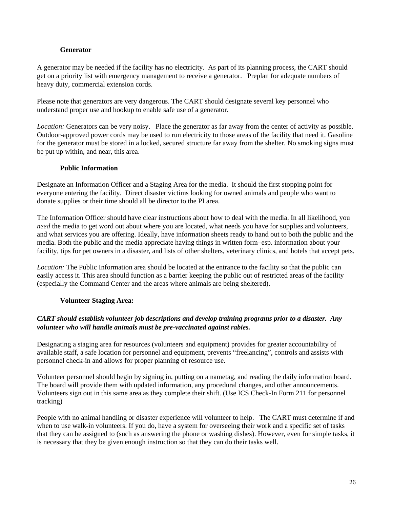#### **Generator**

A generator may be needed if the facility has no electricity. As part of its planning process, the CART should get on a priority list with emergency management to receive a generator. Preplan for adequate numbers of heavy duty, commercial extension cords.

Please note that generators are very dangerous. The CART should designate several key personnel who understand proper use and hookup to enable safe use of a generator.

*Location:* Generators can be very noisy. Place the generator as far away from the center of activity as possible. Outdoor-approved power cords may be used to run electricity to those areas of the facility that need it. Gasoline for the generator must be stored in a locked, secured structure far away from the shelter. No smoking signs must be put up within, and near, this area.

#### **Public Information**

Designate an Information Officer and a Staging Area for the media. It should the first stopping point for everyone entering the facility. Direct disaster victims looking for owned animals and people who want to donate supplies or their time should all be director to the PI area.

The Information Officer should have clear instructions about how to deal with the media. In all likelihood, you *need* the media to get word out about where you are located, what needs you have for supplies and volunteers, and what services you are offering. Ideally, have information sheets ready to hand out to both the public and the media. Both the public and the media appreciate having things in written form–esp. information about your facility, tips for pet owners in a disaster, and lists of other shelters, veterinary clinics, and hotels that accept pets.

*Location:* The Public Information area should be located at the entrance to the facility so that the public can easily access it. This area should function as a barrier keeping the public out of restricted areas of the facility (especially the Command Center and the areas where animals are being sheltered).

#### **Volunteer Staging Area:**

#### *CART should establish volunteer job descriptions and develop training programs prior to a disaster. Any volunteer who will handle animals must be pre-vaccinated against rabies.*

Designating a staging area for resources (volunteers and equipment) provides for greater accountability of available staff, a safe location for personnel and equipment, prevents "freelancing", controls and assists with personnel check-in and allows for proper planning of resource use.

Volunteer personnel should begin by signing in, putting on a nametag, and reading the daily information board. The board will provide them with updated information, any procedural changes, and other announcements. Volunteers sign out in this same area as they complete their shift. (Use ICS Check-In Form 211 for personnel tracking)

People with no animal handling or disaster experience will volunteer to help. The CART must determine if and when to use walk-in volunteers. If you do, have a system for overseeing their work and a specific set of tasks that they can be assigned to (such as answering the phone or washing dishes). However, even for simple tasks, it is necessary that they be given enough instruction so that they can do their tasks well.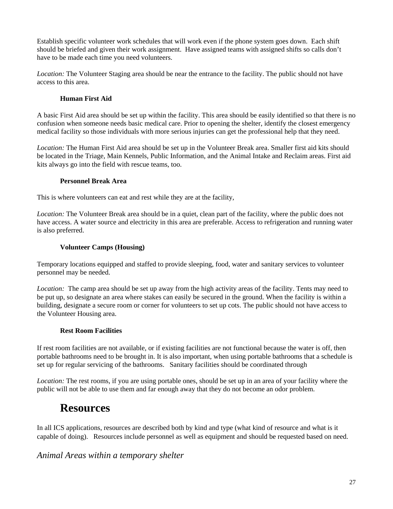Establish specific volunteer work schedules that will work even if the phone system goes down. Each shift should be briefed and given their work assignment. Have assigned teams with assigned shifts so calls don't have to be made each time you need volunteers.

*Location:* The Volunteer Staging area should be near the entrance to the facility. The public should not have access to this area.

#### **Human First Aid**

A basic First Aid area should be set up within the facility. This area should be easily identified so that there is no confusion when someone needs basic medical care. Prior to opening the shelter, identify the closest emergency medical facility so those individuals with more serious injuries can get the professional help that they need.

*Location:* The Human First Aid area should be set up in the Volunteer Break area. Smaller first aid kits should be located in the Triage, Main Kennels, Public Information, and the Animal Intake and Reclaim areas. First aid kits always go into the field with rescue teams, too.

#### **Personnel Break Area**

This is where volunteers can eat and rest while they are at the facility,

*Location:* The Volunteer Break area should be in a quiet, clean part of the facility, where the public does not have access. A water source and electricity in this area are preferable. Access to refrigeration and running water is also preferred.

#### **Volunteer Camps (Housing)**

Temporary locations equipped and staffed to provide sleeping, food, water and sanitary services to volunteer personnel may be needed.

*Location:* The camp area should be set up away from the high activity areas of the facility. Tents may need to be put up, so designate an area where stakes can easily be secured in the ground. When the facility is within a building, designate a secure room or corner for volunteers to set up cots. The public should not have access to the Volunteer Housing area.

#### **Rest Room Facilities**

If rest room facilities are not available, or if existing facilities are not functional because the water is off, then portable bathrooms need to be brought in. It is also important, when using portable bathrooms that a schedule is set up for regular servicing of the bathrooms. Sanitary facilities should be coordinated through

*Location:* The rest rooms, if you are using portable ones, should be set up in an area of your facility where the public will not be able to use them and far enough away that they do not become an odor problem.

# **Resources**

In all ICS applications, resources are described both by kind and type (what kind of resource and what is it capable of doing). Resources include personnel as well as equipment and should be requested based on need.

#### *Animal Areas within a temporary shelter*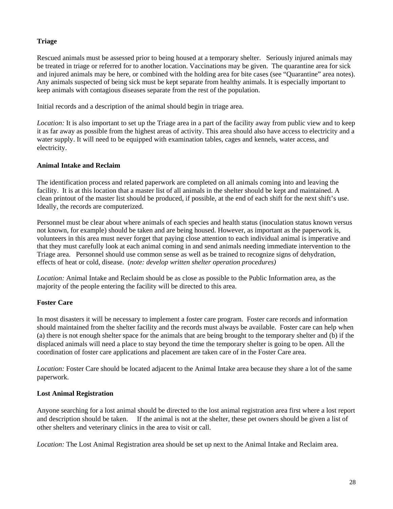#### **Triage**

Rescued animals must be assessed prior to being housed at a temporary shelter. Seriously injured animals may be treated in triage or referred for to another location. Vaccinations may be given. The quarantine area for sick and injured animals may be here, or combined with the holding area for bite cases (see "Quarantine" area notes). Any animals suspected of being sick must be kept separate from healthy animals. It is especially important to keep animals with contagious diseases separate from the rest of the population.

Initial records and a description of the animal should begin in triage area.

*Location:* It is also important to set up the Triage area in a part of the facility away from public view and to keep it as far away as possible from the highest areas of activity. This area should also have access to electricity and a water supply. It will need to be equipped with examination tables, cages and kennels, water access, and electricity.

#### **Animal Intake and Reclaim**

The identification process and related paperwork are completed on all animals coming into and leaving the facility. It is at this location that a master list of all animals in the shelter should be kept and maintained. A clean printout of the master list should be produced, if possible, at the end of each shift for the next shift's use. Ideally, the records are computerized.

Personnel must be clear about where animals of each species and health status (inoculation status known versus not known, for example) should be taken and are being housed. However, as important as the paperwork is, volunteers in this area must never forget that paying close attention to each individual animal is imperative and that they must carefully look at each animal coming in and send animals needing immediate intervention to the Triage area. Personnel should use common sense as well as be trained to recognize signs of dehydration, effects of heat or cold, disease. (*note: develop written shelter operation procedures)* 

*Location:* Animal Intake and Reclaim should be as close as possible to the Public Information area, as the majority of the people entering the facility will be directed to this area.

#### **Foster Care**

In most disasters it will be necessary to implement a foster care program. Foster care records and information should maintained from the shelter facility and the records must always be available. Foster care can help when (a) there is not enough shelter space for the animals that are being brought to the temporary shelter and (b) if the displaced animals will need a place to stay beyond the time the temporary shelter is going to be open. All the coordination of foster care applications and placement are taken care of in the Foster Care area.

*Location:* Foster Care should be located adjacent to the Animal Intake area because they share a lot of the same paperwork.

#### **Lost Animal Registration**

Anyone searching for a lost animal should be directed to the lost animal registration area first where a lost report and description should be taken. If the animal is not at the shelter, these pet owners should be given a list of other shelters and veterinary clinics in the area to visit or call.

*Location:* The Lost Animal Registration area should be set up next to the Animal Intake and Reclaim area.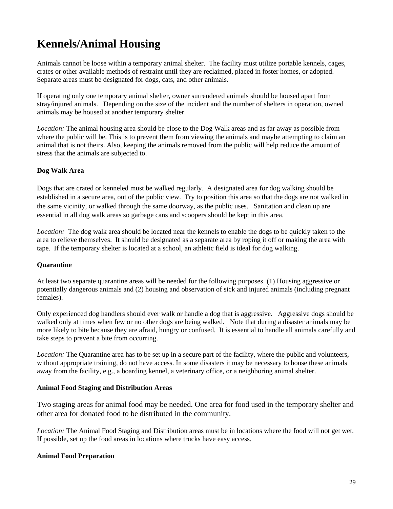# **Kennels/Animal Housing**

Animals cannot be loose within a temporary animal shelter. The facility must utilize portable kennels, cages, crates or other available methods of restraint until they are reclaimed, placed in foster homes, or adopted. Separate areas must be designated for dogs, cats, and other animals.

If operating only one temporary animal shelter, owner surrendered animals should be housed apart from stray/injured animals. Depending on the size of the incident and the number of shelters in operation, owned animals may be housed at another temporary shelter.

*Location:* The animal housing area should be close to the Dog Walk areas and as far away as possible from where the public will be. This is to prevent them from viewing the animals and maybe attempting to claim an animal that is not theirs. Also, keeping the animals removed from the public will help reduce the amount of stress that the animals are subjected to.

#### **Dog Walk Area**

Dogs that are crated or kenneled must be walked regularly. A designated area for dog walking should be established in a secure area, out of the public view. Try to position this area so that the dogs are not walked in the same vicinity, or walked through the same doorway, as the public uses. Sanitation and clean up are essential in all dog walk areas so garbage cans and scoopers should be kept in this area.

*Location:* The dog walk area should be located near the kennels to enable the dogs to be quickly taken to the area to relieve themselves. It should be designated as a separate area by roping it off or making the area with tape. If the temporary shelter is located at a school, an athletic field is ideal for dog walking.

#### **Quarantine**

At least two separate quarantine areas will be needed for the following purposes. (1) Housing aggressive or potentially dangerous animals and (2) housing and observation of sick and injured animals (including pregnant females).

Only experienced dog handlers should ever walk or handle a dog that is aggressive. Aggressive dogs should be walked only at times when few or no other dogs are being walked. Note that during a disaster animals may be more likely to bite because they are afraid, hungry or confused. It is essential to handle all animals carefully and take steps to prevent a bite from occurring.

*Location:* The Quarantine area has to be set up in a secure part of the facility, where the public and volunteers, without appropriate training, do not have access. In some disasters it may be necessary to house these animals away from the facility, e.g., a boarding kennel, a veterinary office, or a neighboring animal shelter.

#### **Animal Food Staging and Distribution Areas**

Two staging areas for animal food may be needed. One area for food used in the temporary shelter and other area for donated food to be distributed in the community.

*Location:* The Animal Food Staging and Distribution areas must be in locations where the food will not get wet. If possible, set up the food areas in locations where trucks have easy access.

#### **Animal Food Preparation**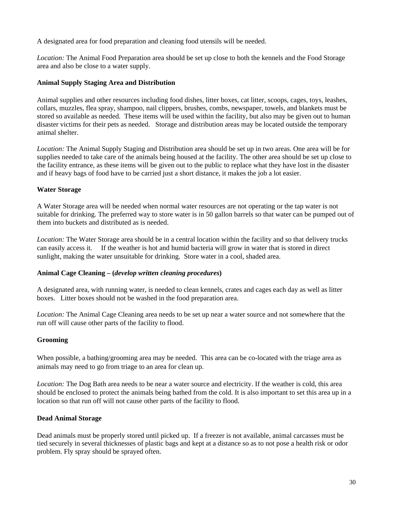A designated area for food preparation and cleaning food utensils will be needed.

*Location:* The Animal Food Preparation area should be set up close to both the kennels and the Food Storage area and also be close to a water supply.

#### **Animal Supply Staging Area and Distribution**

Animal supplies and other resources including food dishes, litter boxes, cat litter, scoops, cages, toys, leashes, collars, muzzles, flea spray, shampoo, nail clippers, brushes, combs, newspaper, towels, and blankets must be stored so available as needed. These items will be used within the facility, but also may be given out to human disaster victims for their pets as needed. Storage and distribution areas may be located outside the temporary animal shelter.

*Location:* The Animal Supply Staging and Distribution area should be set up in two areas. One area will be for supplies needed to take care of the animals being housed at the facility. The other area should be set up close to the facility entrance, as these items will be given out to the public to replace what they have lost in the disaster and if heavy bags of food have to be carried just a short distance, it makes the job a lot easier.

#### **Water Storage**

A Water Storage area will be needed when normal water resources are not operating or the tap water is not suitable for drinking. The preferred way to store water is in 50 gallon barrels so that water can be pumped out of them into buckets and distributed as is needed.

*Location:* The Water Storage area should be in a central location within the facility and so that delivery trucks can easily access it. If the weather is hot and humid bacteria will grow in water that is stored in direct sunlight, making the water unsuitable for drinking. Store water in a cool, shaded area.

#### **Animal Cage Cleaning – (***develop written cleaning procedures***)**

A designated area, with running water, is needed to clean kennels, crates and cages each day as well as litter boxes. Litter boxes should not be washed in the food preparation area.

*Location:* The Animal Cage Cleaning area needs to be set up near a water source and not somewhere that the run off will cause other parts of the facility to flood.

#### **Grooming**

When possible, a bathing/grooming area may be needed. This area can be co-located with the triage area as animals may need to go from triage to an area for clean up.

*Location:* The Dog Bath area needs to be near a water source and electricity. If the weather is cold, this area should be enclosed to protect the animals being bathed from the cold. It is also important to set this area up in a location so that run off will not cause other parts of the facility to flood.

#### **Dead Animal Storage**

Dead animals must be properly stored until picked up. If a freezer is not available, animal carcasses must be tied securely in several thicknesses of plastic bags and kept at a distance so as to not pose a health risk or odor problem. Fly spray should be sprayed often.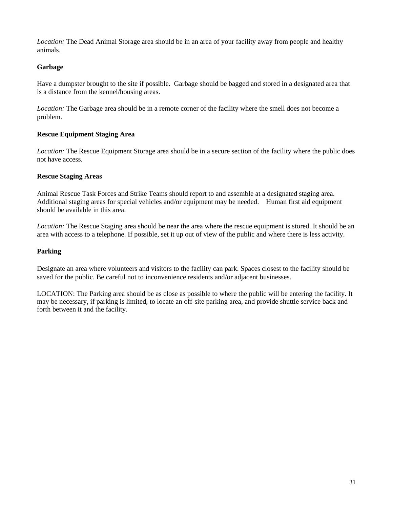*Location:* The Dead Animal Storage area should be in an area of your facility away from people and healthy animals.

#### **Garbage**

Have a dumpster brought to the site if possible. Garbage should be bagged and stored in a designated area that is a distance from the kennel/housing areas.

*Location:* The Garbage area should be in a remote corner of the facility where the smell does not become a problem.

#### **Rescue Equipment Staging Area**

*Location:* The Rescue Equipment Storage area should be in a secure section of the facility where the public does not have access.

#### **Rescue Staging Areas**

Animal Rescue Task Forces and Strike Teams should report to and assemble at a designated staging area. Additional staging areas for special vehicles and/or equipment may be needed. Human first aid equipment should be available in this area.

*Location:* The Rescue Staging area should be near the area where the rescue equipment is stored. It should be an area with access to a telephone. If possible, set it up out of view of the public and where there is less activity.

#### **Parking**

Designate an area where volunteers and visitors to the facility can park. Spaces closest to the facility should be saved for the public. Be careful not to inconvenience residents and/or adjacent businesses.

LOCATION: The Parking area should be as close as possible to where the public will be entering the facility. It may be necessary, if parking is limited, to locate an off-site parking area, and provide shuttle service back and forth between it and the facility.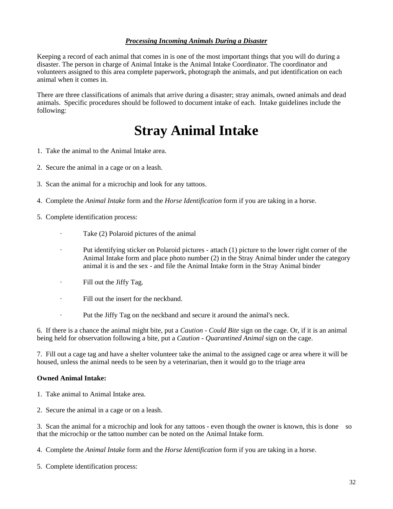#### *Processing Incoming Animals During a Disaster*

Keeping a record of each animal that comes in is one of the most important things that you will do during a disaster. The person in charge of Animal Intake is the Animal Intake Coordinator. The coordinator and volunteers assigned to this area complete paperwork, photograph the animals, and put identification on each animal when it comes in.

There are three classifications of animals that arrive during a disaster; stray animals, owned animals and dead animals. Specific procedures should be followed to document intake of each. Intake guidelines include the following:

# **Stray Animal Intake**

- 1. Take the animal to the Animal Intake area.
- 2. Secure the animal in a cage or on a leash.
- 3. Scan the animal for a microchip and look for any tattoos.
- 4. Complete the *Animal Intake* form and the *Horse Identification* form if you are taking in a horse.
- 5. Complete identification process:
	- · Take (2) Polaroid pictures of the animal
	- · Put identifying sticker on Polaroid pictures attach (1) picture to the lower right corner of the Animal Intake form and place photo number (2) in the Stray Animal binder under the category animal it is and the sex - and file the Animal Intake form in the Stray Animal binder
	- · Fill out the Jiffy Tag.
	- · Fill out the insert for the neckband.
	- · Put the Jiffy Tag on the neckband and secure it around the animal's neck.

6. If there is a chance the animal might bite, put a *Caution - Could Bite* sign on the cage. Or, if it is an animal being held for observation following a bite, put a *Caution - Quarantined Animal* sign on the cage.

7. Fill out a cage tag and have a shelter volunteer take the animal to the assigned cage or area where it will be housed, unless the animal needs to be seen by a veterinarian, then it would go to the triage area

#### **Owned Animal Intake:**

- 1. Take animal to Animal Intake area.
- 2. Secure the animal in a cage or on a leash.

3. Scan the animal for a microchip and look for any tattoos - even though the owner is known, this is done so that the microchip or the tattoo number can be noted on the Animal Intake form.

4. Complete the *Animal Intake* form and the *Horse Identification* form if you are taking in a horse.

5. Complete identification process: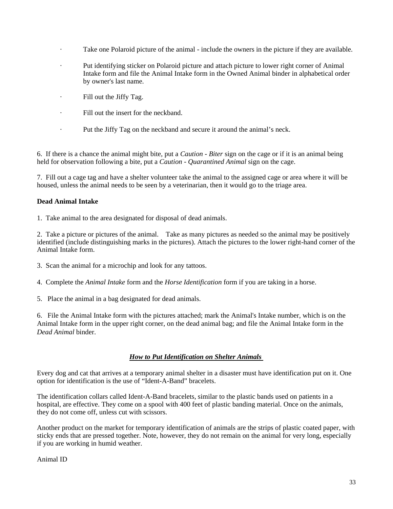- Take one Polaroid picture of the animal include the owners in the picture if they are available.
- · Put identifying sticker on Polaroid picture and attach picture to lower right corner of Animal Intake form and file the Animal Intake form in the Owned Animal binder in alphabetical order by owner's last name.
- · Fill out the Jiffy Tag.
- · Fill out the insert for the neckband.
- · Put the Jiffy Tag on the neckband and secure it around the animal's neck.

6. If there is a chance the animal might bite, put a *Caution - Biter* sign on the cage or if it is an animal being held for observation following a bite, put a *Caution - Quarantined Animal* sign on the cage.

7. Fill out a cage tag and have a shelter volunteer take the animal to the assigned cage or area where it will be housed, unless the animal needs to be seen by a veterinarian, then it would go to the triage area.

#### **Dead Animal Intake**

1. Take animal to the area designated for disposal of dead animals.

2. Take a picture or pictures of the animal. Take as many pictures as needed so the animal may be positively identified (include distinguishing marks in the pictures). Attach the pictures to the lower right-hand corner of the Animal Intake form.

- 3. Scan the animal for a microchip and look for any tattoos.
- 4. Complete the *Animal Intake* form and the *Horse Identification* form if you are taking in a horse.
- 5. Place the animal in a bag designated for dead animals.

6. File the Animal Intake form with the pictures attached; mark the Animal's Intake number, which is on the Animal Intake form in the upper right corner, on the dead animal bag; and file the Animal Intake form in the *Dead Animal* binder.

#### *How to Put Identification on Shelter Animals*

Every dog and cat that arrives at a temporary animal shelter in a disaster must have identification put on it. One option for identification is the use of "Ident-A-Band" bracelets.

The identification collars called Ident-A-Band bracelets, similar to the plastic bands used on patients in a hospital, are effective. They come on a spool with 400 feet of plastic banding material. Once on the animals, they do not come off, unless cut with scissors.

Another product on the market for temporary identification of animals are the strips of plastic coated paper, with sticky ends that are pressed together. Note, however, they do not remain on the animal for very long, especially if you are working in humid weather.

Animal ID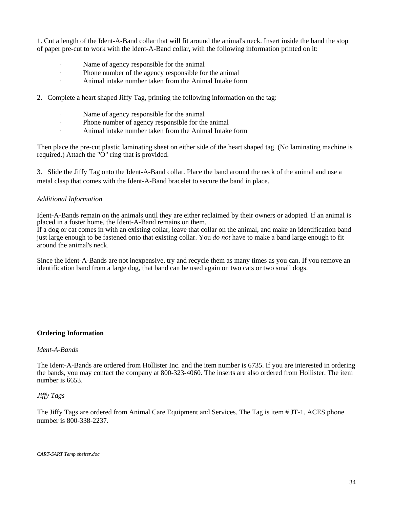1. Cut a length of the Ident-A-Band collar that will fit around the animal's neck. Insert inside the band the stop of paper pre-cut to work with the ldent-A-Band collar, with the following information printed on it:

- Name of agency responsible for the animal
- · Phone number of the agency responsible for the animal
- Animal intake number taken from the Animal Intake form
- 2. Complete a heart shaped Jiffy Tag, printing the following information on the tag:
	- · Name of agency responsible for the animal
	- · Phone number of agency responsible for the animal
	- · Animal intake number taken from the Animal Intake form

Then place the pre-cut plastic laminating sheet on either side of the heart shaped tag. (No laminating machine is required.) Attach the "O" ring that is provided.

3. Slide the Jiffy Tag onto the Ident-A-Band collar. Place the band around the neck of the animal and use a metal clasp that comes with the Ident-A-Band bracelet to secure the band in place.

#### *Additional Information*

Ident-A-Bands remain on the animals until they are either reclaimed by their owners or adopted. If an animal is placed in a foster home, the Ident-A-Band remains on them.

If a dog or cat comes in with an existing collar, leave that collar on the animal, and make an identification band just large enough to be fastened onto that existing collar. You *do not* have to make a band large enough to fit around the animal's neck.

Since the Ident-A-Bands are not inexpensive, try and recycle them as many times as you can. If you remove an identification band from a large dog, that band can be used again on two cats or two small dogs.

#### **Ordering Information**

#### *Ident-A-Bands*

The Ident-A-Bands are ordered from Hollister Inc. and the item number is 6735. If you are interested in ordering the bands, you may contact the company at 800-323-4060. The inserts are also ordered from Hollister. The item number is 6653.

#### *Jiffy Tags*

The Jiffy Tags are ordered from Animal Care Equipment and Services. The Tag is item # JT-1. ACES phone number is 800-338-2237.

*CART-SART Temp shelter.doc*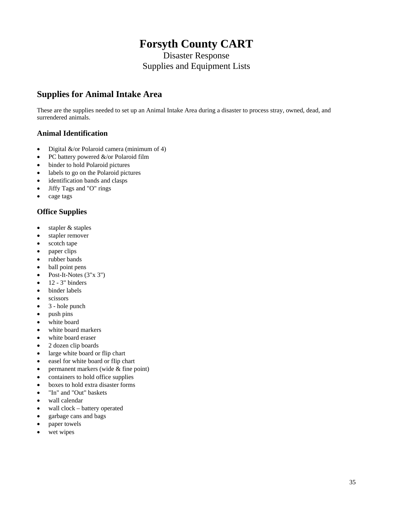# **Forsyth County CART**

Disaster Response Supplies and Equipment Lists

# **Supplies for Animal Intake Area**

These are the supplies needed to set up an Animal Intake Area during a disaster to process stray, owned, dead, and surrendered animals.

#### **Animal Identification**

- Digital &/or Polaroid camera (minimum of 4)
- PC battery powered &/or Polaroid film
- binder to hold Polaroid pictures
- labels to go on the Polaroid pictures
- identification bands and clasps
- Jiffy Tags and "O" rings
- cage tags

#### **Office Supplies**

- stapler & staples
- stapler remover
- scotch tape
- paper clips
- rubber bands
- ball point pens
- Post-It-Notes (3"x 3")
- $\bullet$  12 3" binders
- binder labels
- scissors
- 3 hole punch
- push pins
- white board
- white board markers
- white board eraser
- 2 dozen clip boards
- large white board or flip chart
- easel for white board or flip chart
- permanent markers (wide & fine point)
- containers to hold office supplies
- boxes to hold extra disaster forms
- "In" and "Out" baskets
- wall calendar
- wall clock battery operated
- garbage cans and bags
- paper towels
- wet wipes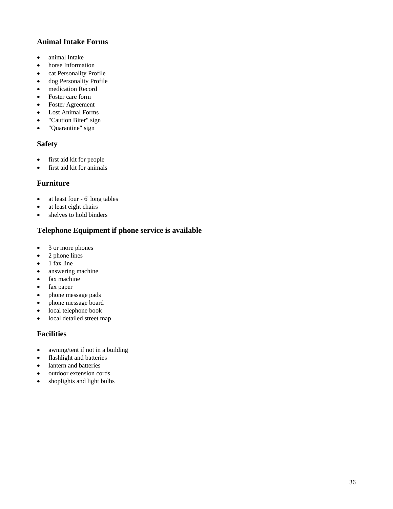#### **Animal Intake Forms**

- animal Intake
- horse Information
- cat Personality Profile
- dog Personality Profile
- medication Record
- Foster care form
- Foster Agreement
- Lost Animal Forms
- "Caution Biter" sign
- "Quarantine" sign

#### **Safety**

- first aid kit for people
- first aid kit for animals

#### **Furniture**

- at least four 6' long tables
- at least eight chairs
- shelves to hold binders

### **Telephone Equipment if phone service is available**

- 3 or more phones
- 2 phone lines
- 1 fax line
- answering machine
- fax machine
- fax paper
- phone message pads
- phone message board
- local telephone book
- local detailed street map

#### **Facilities**

- awning/tent if not in a building
- flashlight and batteries
- lantern and batteries
- outdoor extension cords
- shoplights and light bulbs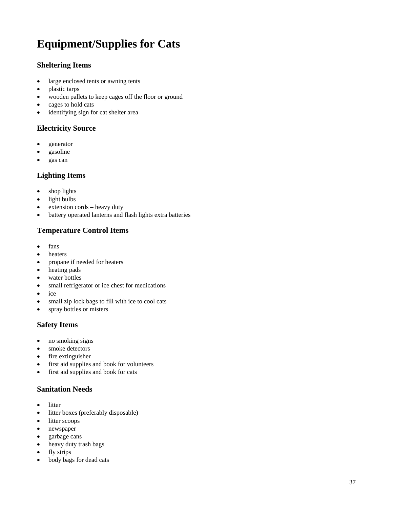# **Equipment/Supplies for Cats**

#### **Sheltering Items**

- large enclosed tents or awning tents
- plastic tarps
- wooden pallets to keep cages off the floor or ground
- cages to hold cats
- identifying sign for cat shelter area

#### **Electricity Source**

- generator
- gasoline
- gas can

#### **Lighting Items**

- shop lights
- light bulbs
- extension cords heavy duty
- battery operated lanterns and flash lights extra batteries

#### **Temperature Control Items**

- fans
- heaters
- propane if needed for heaters
- heating pads
- water bottles
- small refrigerator or ice chest for medications
- ice
- small zip lock bags to fill with ice to cool cats
- spray bottles or misters

#### **Safety Items**

- no smoking signs
- smoke detectors
- fire extinguisher
- first aid supplies and book for volunteers
- first aid supplies and book for cats

#### **Sanitation Needs**

- litter
- litter boxes (preferably disposable)
- litter scoops
- newspaper
- garbage cans
- heavy duty trash bags
- fly strips
- body bags for dead cats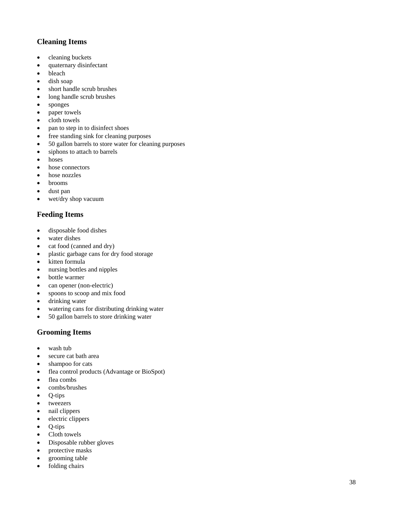#### **Cleaning Items**

- cleaning buckets
- quaternary disinfectant
- bleach
- dish soap
- short handle scrub brushes
- long handle scrub brushes
- sponges
- paper towels
- cloth towels
- pan to step in to disinfect shoes
- free standing sink for cleaning purposes
- 50 gallon barrels to store water for cleaning purposes
- siphons to attach to barrels
- hoses
- hose connectors
- hose nozzles
- brooms
- dust pan
- wet/dry shop vacuum

### **Feeding Items**

- disposable food dishes
- water dishes
- cat food (canned and dry)
- plastic garbage cans for dry food storage
- kitten formula
- nursing bottles and nipples
- bottle warmer
- can opener (non-electric)
- spoons to scoop and mix food
- drinking water
- watering cans for distributing drinking water
- 50 gallon barrels to store drinking water

### **Grooming Items**

- wash tub
- secure cat bath area
- shampoo for cats
- flea control products (Advantage or BioSpot)
- flea combs
- combs/brushes
- Q-tips
- tweezers
- nail clippers
- electric clippers
- Q-tips
- Cloth towels
- Disposable rubber gloves
- protective masks
- grooming table
- folding chairs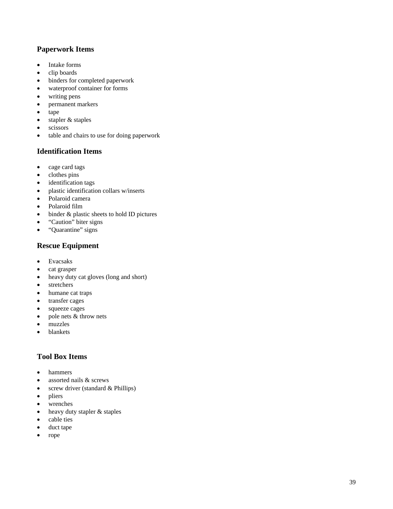#### **Paperwork Items**

- Intake forms
- clip boards
- binders for completed paperwork
- waterproof container for forms
- writing pens
- permanent markers
- tape
- stapler & staples
- scissors
- table and chairs to use for doing paperwork

#### **Identification Items**

- cage card tags
- clothes pins
- identification tags
- plastic identification collars w/inserts
- Polaroid camera
- Polaroid film
- binder & plastic sheets to hold ID pictures
- "Caution" biter signs
- "Quarantine" signs

## **Rescue Equipment**

- Evacsaks
- cat grasper
- heavy duty cat gloves (long and short)
- stretchers
- humane cat traps
- transfer cages
- squeeze cages
- pole nets & throw nets
- muzzles
- blankets

#### **Tool Box Items**

- hammers
- assorted nails & screws
- screw driver (standard & Phillips)
- pliers
- wrenches
- heavy duty stapler & staples
- cable ties
- duct tape
- rope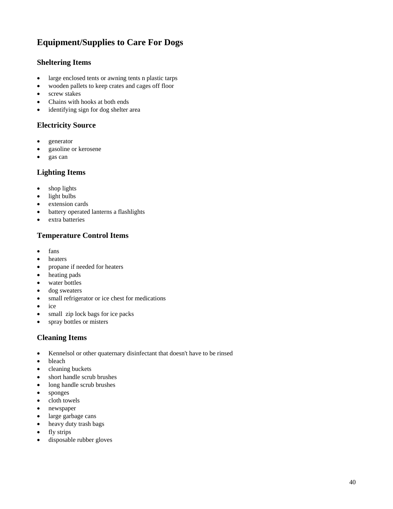# **Equipment/Supplies to Care For Dogs**

#### **Sheltering Items**

- large enclosed tents or awning tents n plastic tarps
- wooden pallets to keep crates and cages off floor
- screw stakes
- Chains with hooks at both ends
- identifying sign for dog shelter area

#### **Electricity Source**

- generator
- gasoline or kerosene
- gas can

#### **Lighting Items**

- shop lights
- light bulbs
- extension cards
- battery operated lanterns a flashlights
- extra batteries

#### **Temperature Control Items**

- fans
- heaters
- propane if needed for heaters
- heating pads
- water bottles
- dog sweaters
- small refrigerator or ice chest for medications
- ice
- small zip lock bags for ice packs
- spray bottles or misters

#### **Cleaning Items**

- Kennelsol or other quaternary disinfectant that doesn't have to be rinsed
- bleach
- cleaning buckets
- short handle scrub brushes
- long handle scrub brushes
- sponges
- cloth towels
- newspaper
- large garbage cans
- heavy duty trash bags
- fly strips
- disposable rubber gloves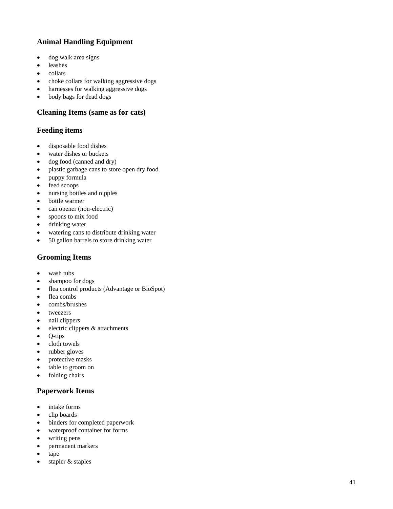#### **Animal Handling Equipment**

- dog walk area signs
- leashes
- collars
- choke collars for walking aggressive dogs
- harnesses for walking aggressive dogs
- body bags for dead dogs

#### **Cleaning Items (same as for cats)**

#### **Feeding items**

- disposable food dishes
- water dishes or buckets
- dog food (canned and dry)
- plastic garbage cans to store open dry food
- puppy formula
- feed scoops
- nursing bottles and nipples
- bottle warmer
- can opener (non-electric)
- spoons to mix food
- drinking water
- watering cans to distribute drinking water
- 50 gallon barrels to store drinking water

#### **Grooming Items**

- wash tubs
- shampoo for dogs
- flea control products (Advantage or BioSpot)
- flea combs
- combs/brushes
- tweezers
- nail clippers
- electric clippers & attachments
- Q-tips
- cloth towels
- rubber gloves
- protective masks
- table to groom on
- folding chairs

#### **Paperwork Items**

- intake forms
- clip boards
- binders for completed paperwork
- waterproof container for forms
- writing pens
- permanent markers
- tape
- stapler & staples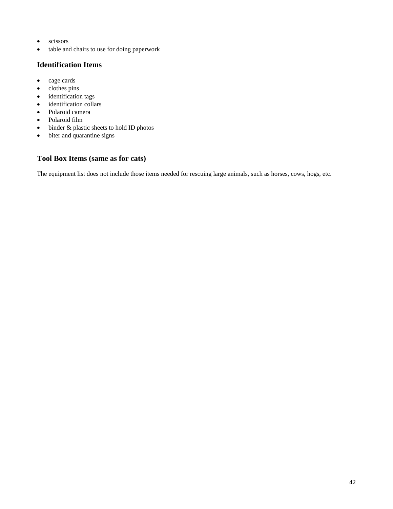- scissors
- table and chairs to use for doing paperwork

### **Identification Items**

- cage cards
- clothes pins
- identification tags
- identification collars
- Polaroid camera
- Polaroid film
- binder & plastic sheets to hold ID photos
- biter and quarantine signs

#### **Tool Box Items (same as for cats)**

The equipment list does not include those items needed for rescuing large animals, such as horses, cows, hogs, etc.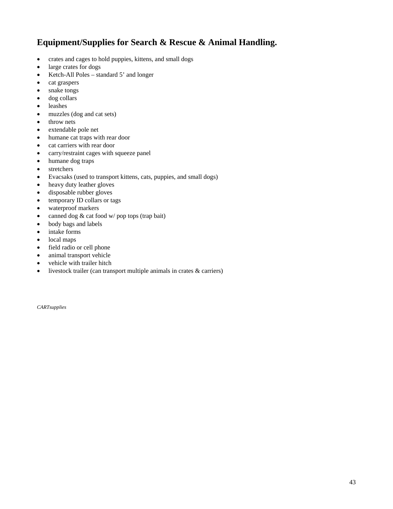# **Equipment/Supplies for Search & Rescue & Animal Handling.**

- crates and cages to hold puppies, kittens, and small dogs
- large crates for dogs
- Ketch-All Poles standard 5' and longer
- cat graspers
- snake tongs
- dog collars
- leashes
- muzzles (dog and cat sets)
- throw nets
- extendable pole net
- humane cat traps with rear door
- cat carriers with rear door
- carry/restraint cages with squeeze panel
- humane dog traps
- stretchers
- Evacsaks (used to transport kittens, cats, puppies, and small dogs)
- heavy duty leather gloves
- disposable rubber gloves
- temporary ID collars or tags
- waterproof markers
- canned dog & cat food w/ pop tops (trap bait)
- body bags and labels
- intake forms
- local maps
- field radio or cell phone
- animal transport vehicle
- vehicle with trailer hitch
- livestock trailer (can transport multiple animals in crates & carriers)

*CARTsupplies*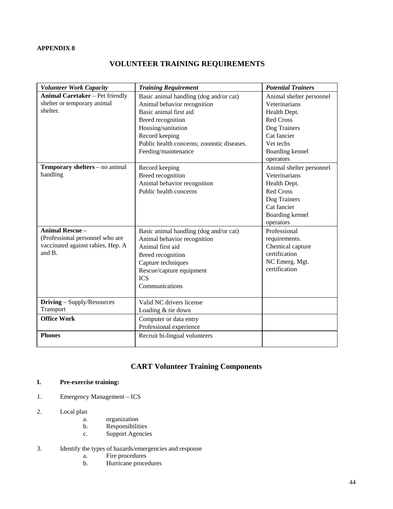#### **APPENDIX 8**

### **VOLUNTEER TRAINING REQUIREMENTS**

| <b>Volunteer Work Capacity</b>              | <b>Training Requirement</b>                       | <b>Potential Trainers</b> |
|---------------------------------------------|---------------------------------------------------|---------------------------|
| <b>Animal Caretaker</b> – Pet friendly      | Basic animal handling (dog and/or cat)            | Animal shelter personnel  |
| shelter or temporary animal                 | Animal behavior recognition                       | Veterinarians             |
| shelter.                                    | Basic animal first aid                            | Health Dept.              |
|                                             | Breed recognition                                 | <b>Red Cross</b>          |
|                                             | Housing/sanitation                                | Dog Trainers              |
|                                             | Record keeping                                    | Cat fancier               |
|                                             | Public health concerns; zoonotic diseases.        | Vet techs                 |
|                                             | Feeding/maintenance                               | Boarding kennel           |
|                                             |                                                   | operators                 |
| Temporary shelters - no animal              | Record keeping                                    | Animal shelter personnel  |
| handling                                    | Breed recognition                                 | Veterinarians             |
|                                             | Animal behavior recognition                       | Health Dept.              |
|                                             | Public health concerns                            | <b>Red Cross</b>          |
|                                             |                                                   | Dog Trainers              |
|                                             |                                                   | Cat fancier               |
|                                             |                                                   | Boarding kennel           |
|                                             |                                                   | operators                 |
| <b>Animal Rescue -</b>                      | Basic animal handling (dog and/or cat)            | Professional              |
| (Professional personnel who are             | Animal behavior recognition                       | requirements.             |
| vaccinated against rabies, Hep. A<br>and B. | Animal first aid                                  | Chemical capture          |
|                                             | Breed recognition                                 | certification             |
|                                             | Capture techniques                                | NC Emerg. Mgt.            |
|                                             | Rescue/capture equipment                          | certification             |
|                                             | <b>ICS</b>                                        |                           |
|                                             | Communications                                    |                           |
| <b>Driving</b> – Supply/Resources           | Valid NC drivers license                          |                           |
| Transport                                   | Loading & tie down                                |                           |
| <b>Office Work</b>                          |                                                   |                           |
|                                             | Computer or data entry<br>Professional experience |                           |
| <b>Phones</b>                               |                                                   |                           |
|                                             | Recruit bi-lingual volunteers                     |                           |
|                                             |                                                   |                           |

### **CART Volunteer Training Components**

#### **I. Pre-exercise training:**

- 1. Emergency Management ICS
- 2. Local plan
	- a. organization
	- b. Responsibilities
	- c. Support Agencies
- 3. Identify the types of hazards/emergencies and response
	- a. Fire procedures
	- b. Hurricane procedures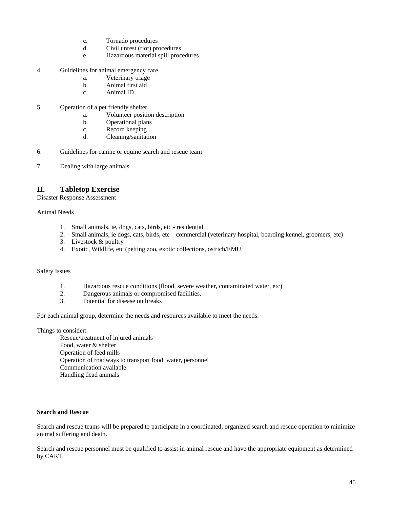- c. Tornado procedures
- d. Civil unrest (riot) procedures
- e. Hazardous material spill procedures
- 4. Guidelines for animal emergency care
	- a. Veterinary triage
	- b. Animal first aid
	- c. Animal ID
- 5. Operation of a pet friendly shelter
	- a. Volunteer position description
	- b. Operational plans
	- c. Record keeping
	- d. Cleaning/sanitation
- 6. Guidelines for canine or equine search and rescue team
- 7. Dealing with large animals

#### **II. Tabletop Exercise**

Disaster Response Assessment

Animal Needs

- 1. Small animals, ie, dogs, cats, birds, etc.- residential
- 2. Small animals, ie dogs, cats, birds, etc commercial (veterinary hospital, boarding kennel, groomers, etc)
- 3. Livestock & poultry
- 4. Exotic, Wildlife, etc (petting zoo, exotic collections, ostrich/EMU.

#### Safety Issues

- 1. Hazardous rescue conditions (flood, severe weather, contaminated water, etc)<br>2. Dangerous animals or compromised facilities.
- 2. Dangerous animals or compromised facilities.
- 3. Potential for disease outbreaks

For each animal group, determine the needs and resources available to meet the needs.

#### Things to consider:

 Rescue/treatment of injured animals Food, water & shelter Operation of feed mills Operation of roadways to transport food, water, personnel Communication available Handling dead animals

#### **Search and Rescue**

Search and rescue teams will be prepared to participate in a coordinated, organized search and rescue operation to minimize animal suffering and death.

Search and rescue personnel must be qualified to assist in animal rescue and have the appropriate equipment as determined by CART.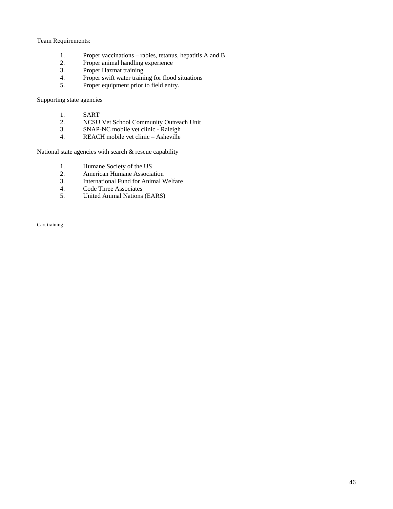#### Team Requirements:

- 1. Proper vaccinations rabies, tetanus, hepatitis A and B
- 2. Proper animal handling experience<br>3. Proper Hazmat training
- 3. Proper Hazmat training<br>4. Proper swift water training
- 4. Proper swift water training for flood situations<br>5. Proper equipment prior to field entry.
- Proper equipment prior to field entry.

Supporting state agencies

- 1. SART<br>2. NCSU
- 2. NCSU Vet School Community Outreach Unit
- 3. SNAP-NC mobile vet clinic Raleigh<br>4. REACH mobile vet clinic Asheville
- REACH mobile vet clinic Asheville

National state agencies with search & rescue capability

- 1. Humane Society of the US<br>2. American Humane Associa
- 2. American Humane Association<br>3. International Fund for Animal V
- 3. International Fund for Animal Welfare
- 4. Code Three Associates<br>5. United Animal Nations
- 5. United Animal Nations (EARS)

Cart training